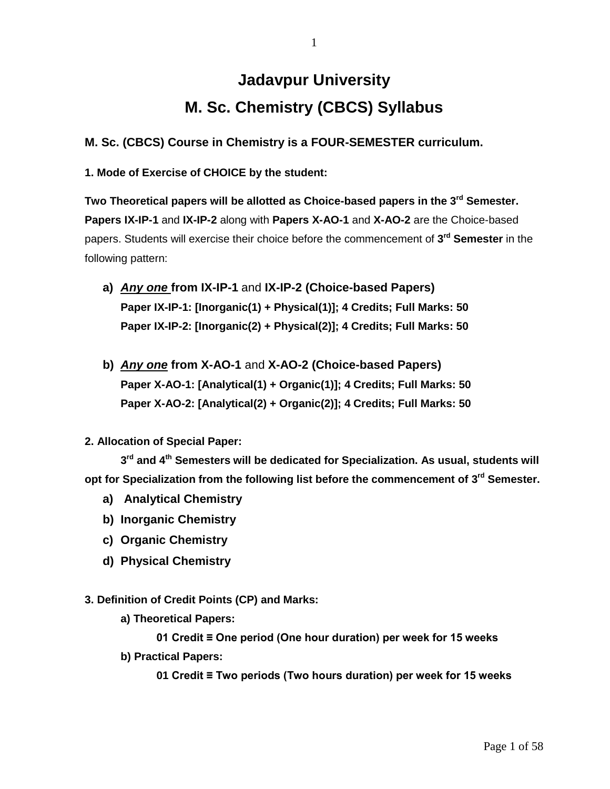# **Jadavpur University M. Sc. Chemistry (CBCS) Syllabus**

1

**M. Sc. (CBCS) Course in Chemistry is a FOUR-SEMESTER curriculum.**

**1. Mode of Exercise of CHOICE by the student:**

**Two Theoretical papers will be allotted as Choice-based papers in the 3rd Semester. Papers IX-IP-1** and **IX-IP-2** along with **Papers X-AO-1** and **X-AO-2** are the Choice-based papers. Students will exercise their choice before the commencement of **3 rd Semester** in the following pattern:

- **a)** *Any one* **from IX-IP-1** and **IX-IP-2 (Choice-based Papers) Paper IX-IP-1: [Inorganic(1) + Physical(1)]; 4 Credits; Full Marks: 50 Paper IX-IP-2: [Inorganic(2) + Physical(2)]; 4 Credits; Full Marks: 50**
- **b)** *Any one* **from X-AO-1** and **X-AO-2 (Choice-based Papers) Paper X-AO-1: [Analytical(1) + Organic(1)]; 4 Credits; Full Marks: 50 Paper X-AO-2: [Analytical(2) + Organic(2)]; 4 Credits; Full Marks: 50**

## **2. Allocation of Special Paper:**

**3 rd and 4th Semesters will be dedicated for Specialization. As usual, students will opt for Specialization from the following list before the commencement of 3 rd Semester.**

- **a) Analytical Chemistry**
- **b) Inorganic Chemistry**
- **c) Organic Chemistry**
- **d) Physical Chemistry**

## **3. Definition of Credit Points (CP) and Marks:**

**a) Theoretical Papers:** 

**01 Credit ≡ One period (One hour duration) per week for 15 weeks**

**b) Practical Papers:** 

**01 Credit ≡ Two periods (Two hours duration) per week for 15 weeks**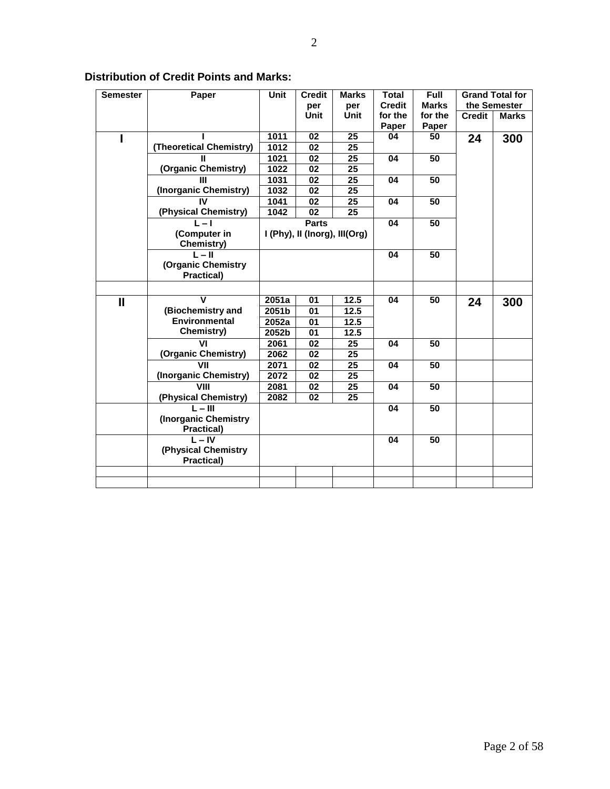| <b>Semester</b> | Paper                   | <b>Unit</b> | <b>Credit</b>                 | <b>Marks</b> | Total         | <b>Full</b>  |               | <b>Grand Total for</b> |
|-----------------|-------------------------|-------------|-------------------------------|--------------|---------------|--------------|---------------|------------------------|
|                 |                         |             | per                           | per          | <b>Credit</b> | <b>Marks</b> |               | the Semester           |
|                 |                         |             | <b>Unit</b>                   | <b>Unit</b>  | for the       | for the      | <b>Credit</b> | <b>Marks</b>           |
|                 |                         |             |                               |              | Paper         | Paper        |               |                        |
|                 |                         | 1011        | 02                            | 25           | 04            | 50           | 24            | 300                    |
|                 | (Theoretical Chemistry) | 1012        | 02                            | 25           |               |              |               |                        |
|                 |                         | 1021        | 02                            | 25           | 04            | 50           |               |                        |
|                 | (Organic Chemistry)     | 1022        | 02                            | 25           |               |              |               |                        |
|                 |                         | 1031        | 02                            | 25           | 04            | 50           |               |                        |
|                 | (Inorganic Chemistry)   | 1032        | 02                            | 25           |               |              |               |                        |
|                 | IV                      | 1041        | 02                            | 25           | 04            | 50           |               |                        |
|                 | (Physical Chemistry)    | 1042        | 02                            | 25           |               |              |               |                        |
|                 | l – I                   |             | <b>Parts</b>                  |              | 04            | 50           |               |                        |
|                 | (Computer in            |             | I (Phy), II (Inorg), III(Org) |              |               |              |               |                        |
|                 | Chemistry)              |             |                               |              |               |              |               |                        |
|                 | $L - H$                 |             |                               |              | 04            | 50           |               |                        |
|                 | (Organic Chemistry      |             |                               |              |               |              |               |                        |
|                 | <b>Practical)</b>       |             |                               |              |               |              |               |                        |
|                 |                         |             |                               |              |               |              |               |                        |
| $\mathbf{I}$    | $\mathbf v$             | 2051a       | 01                            | 12.5         | 04            | 50           | 24            | 300                    |
|                 | (Biochemistry and       | 2051b       | 01                            | 12.5         |               |              |               |                        |
|                 | <b>Environmental</b>    | 2052a       | 01                            | 12.5         |               |              |               |                        |
|                 | Chemistry)              | 2052b       | 01                            | 12.5         |               |              |               |                        |
|                 | VI                      | 2061        | 02                            | 25           | 04            | 50           |               |                        |
|                 | (Organic Chemistry)     | 2062        | 02                            | 25           |               |              |               |                        |
|                 | VII                     | 2071        | 02                            | 25           | 04            | 50           |               |                        |
|                 | (Inorganic Chemistry)   | 2072        | 02                            | 25           |               |              |               |                        |
|                 | VIII                    | 2081        | 02                            | 25           | 04            | 50           |               |                        |
|                 | (Physical Chemistry)    | 2082        | 02                            | 25           |               |              |               |                        |
|                 | $L - III$               |             |                               |              | 04            | 50           |               |                        |
|                 | (Inorganic Chemistry)   |             |                               |              |               |              |               |                        |
|                 | Practical)              |             |                               |              |               |              |               |                        |
|                 | $L - IV$                |             |                               |              | 04            | 50           |               |                        |
|                 | (Physical Chemistry     |             |                               |              |               |              |               |                        |
|                 | Practical)              |             |                               |              |               |              |               |                        |
|                 |                         |             |                               |              |               |              |               |                        |
|                 |                         |             |                               |              |               |              |               |                        |

## **Distribution of Credit Points and Marks:**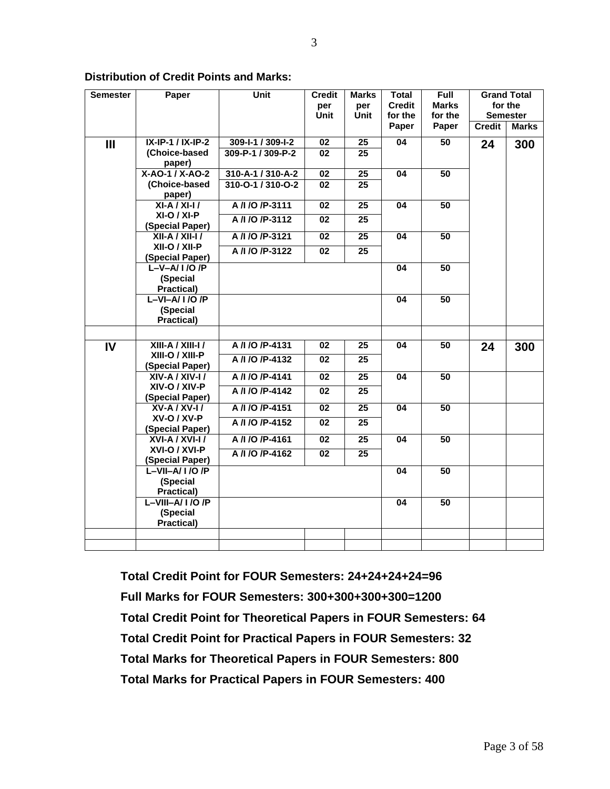| <b>Semester</b> | Paper                                  | <b>Unit</b>       | <b>Credit</b>   | <b>Marks</b>    | <b>Total</b>  | <b>Full</b>     |               | <b>Grand Total</b> |
|-----------------|----------------------------------------|-------------------|-----------------|-----------------|---------------|-----------------|---------------|--------------------|
|                 |                                        |                   | per             | per             | <b>Credit</b> | <b>Marks</b>    |               | for the            |
|                 |                                        |                   | <b>Unit</b>     | Unit            | for the       | for the         |               | <b>Semester</b>    |
|                 |                                        |                   |                 |                 | Paper         | Paper           | <b>Credit</b> | <b>Marks</b>       |
| III             | <b>IX-IP-1 / IX-IP-2</b>               | 309-1-1 / 309-1-2 | $\overline{02}$ | $\overline{25}$ | 04            | $\overline{50}$ | 24            | 300                |
|                 | (Choice-based                          | 309-P-1 / 309-P-2 | 02              | 25              |               |                 |               |                    |
|                 | paper)                                 |                   |                 |                 |               |                 |               |                    |
|                 | X-AO-1 / X-AO-2                        | 310-A-1 / 310-A-2 | 02              | 25              | 04            | 50              |               |                    |
|                 | (Choice-based                          | 310-0-1 / 310-0-2 | 02              | 25              |               |                 |               |                    |
|                 | paper)                                 |                   |                 |                 |               |                 |               |                    |
|                 | $XI-A/XI-I/$                           | A /I /O /P-3111   | 02              | 25              | 04            | $\overline{50}$ |               |                    |
|                 | XI-O / XI-P                            | A /I /O /P-3112   | $\overline{02}$ | 25              |               |                 |               |                    |
|                 | (Special Paper)                        |                   |                 |                 |               |                 |               |                    |
|                 | XII-A / XII-I /                        | A /l /O /P-3121   | 02              | 25              | 04            | 50              |               |                    |
|                 | XII-O / XII-P                          | A /I /O /P-3122   | 02              | 25              |               |                 |               |                    |
|                 | (Special Paper)                        |                   |                 |                 |               |                 |               |                    |
|                 | $L - V - A / I / O / P$                |                   |                 |                 | 04            | 50              |               |                    |
|                 | (Special                               |                   |                 |                 |               |                 |               |                    |
|                 | Practical)<br>$L - VI - A / I / O / P$ |                   |                 |                 | 04            | 50              |               |                    |
|                 | (Special                               |                   |                 |                 |               |                 |               |                    |
|                 | <b>Practical)</b>                      |                   |                 |                 |               |                 |               |                    |
|                 |                                        |                   |                 |                 |               |                 |               |                    |
|                 |                                        |                   |                 |                 |               |                 |               |                    |
| IV              | XIII-A / XIII-I /                      | A /l /O /P-4131   | 02              | 25              | 04            | 50              | 24            | 300                |
|                 | XIII-O / XIII-P                        | A /I /O /P-4132   | 02              | 25              |               |                 |               |                    |
|                 | (Special Paper)<br>XIV-A / XIV-I /     | A /I /O /P-4141   | $\overline{02}$ |                 | 04            | 50              |               |                    |
|                 | XIV-O / XIV-P                          |                   |                 | 25              |               |                 |               |                    |
|                 | (Special Paper)                        | A /I /O /P-4142   | $\overline{02}$ | $\overline{25}$ |               |                 |               |                    |
|                 | XV-A / XV-I /                          | A /I /O /P-4151   | 02              | 25              | 04            | 50              |               |                    |
|                 | XV-O / XV-P                            | A /I /O /P-4152   | 02              | 25              |               |                 |               |                    |
|                 | (Special Paper)                        |                   |                 |                 |               |                 |               |                    |
|                 | XVI-A / XVI-I /                        | A /l /O /P-4161   | 02              | 25              | 04            | 50              |               |                    |
|                 | XVI-O / XVI-P                          | A /I /O /P-4162   | $\overline{02}$ | 25              |               |                 |               |                    |
|                 | (Special Paper)                        |                   |                 |                 |               |                 |               |                    |
|                 | $L-VII-A/1/0/P$                        |                   |                 |                 | 04            | 50              |               |                    |
|                 | (Special                               |                   |                 |                 |               |                 |               |                    |
|                 | Practical)                             |                   |                 |                 |               |                 |               |                    |
|                 | $L-VIII-A/1/O/P$                       |                   |                 |                 | 04            | 50              |               |                    |
|                 | (Special                               |                   |                 |                 |               |                 |               |                    |
|                 | Practical)                             |                   |                 |                 |               |                 |               |                    |
|                 |                                        |                   |                 |                 |               |                 |               |                    |
|                 |                                        |                   |                 |                 |               |                 |               |                    |

#### **Distribution of Credit Points and Marks:**

**Total Credit Point for FOUR Semesters: 24+24+24+24=96 Full Marks for FOUR Semesters: 300+300+300+300=1200 Total Credit Point for Theoretical Papers in FOUR Semesters: 64 Total Credit Point for Practical Papers in FOUR Semesters: 32 Total Marks for Theoretical Papers in FOUR Semesters: 800 Total Marks for Practical Papers in FOUR Semesters: 400**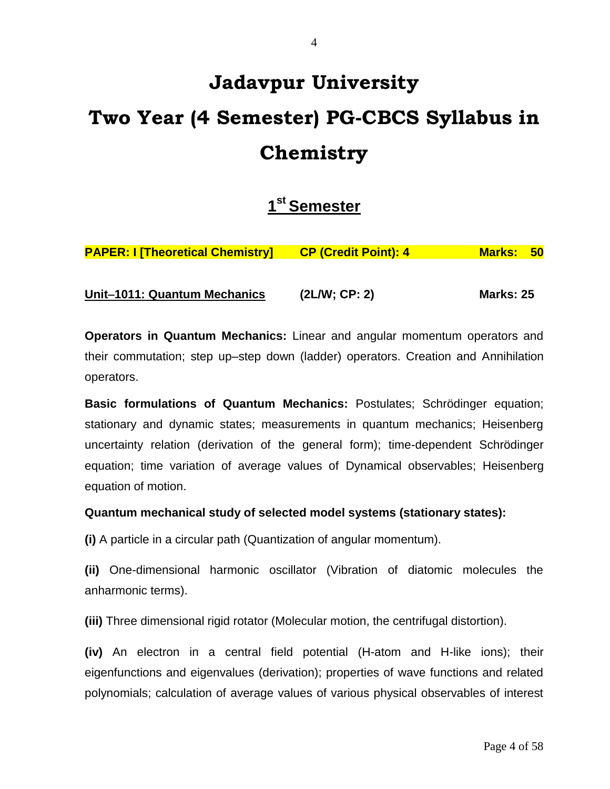# **Jadavpur University Two Year (4 Semester) PG-CBCS Syllabus in Chemistry**

## **1 st Semester**

| Unit-1011: Quantum Mechanics            | (2LM; CP: 2)                | <b>Marks: 25</b> |      |
|-----------------------------------------|-----------------------------|------------------|------|
| <b>PAPER: I [Theoretical Chemistry]</b> | <b>CP (Credit Point): 4</b> |                  | - 50 |
|                                         |                             | Marks: '         |      |

**Operators in Quantum Mechanics:** Linear and angular momentum operators and their commutation; step up–step down (ladder) operators. Creation and Annihilation operators.

**Basic formulations of Quantum Mechanics:** Postulates; Schrödinger equation; stationary and dynamic states; measurements in quantum mechanics; Heisenberg uncertainty relation (derivation of the general form); time-dependent Schrödinger equation; time variation of average values of Dynamical observables; Heisenberg equation of motion.

## **Quantum mechanical study of selected model systems (stationary states):**

**(i)** A particle in a circular path (Quantization of angular momentum).

**(ii)** One-dimensional harmonic oscillator (Vibration of diatomic molecules the anharmonic terms).

**(iii)** Three dimensional rigid rotator (Molecular motion, the centrifugal distortion).

**(iv)** An electron in a central field potential (H-atom and H-like ions); their eigenfunctions and eigenvalues (derivation); properties of wave functions and related polynomials; calculation of average values of various physical observables of interest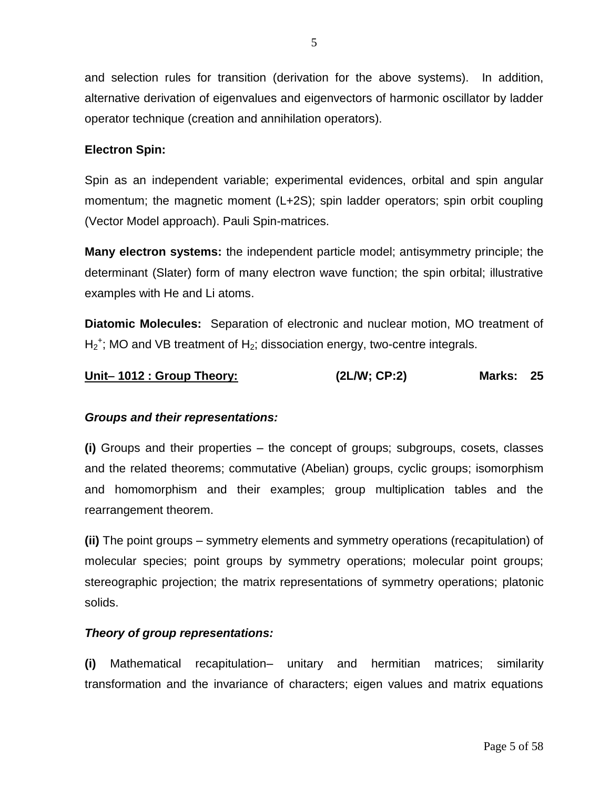and selection rules for transition (derivation for the above systems). In addition, alternative derivation of eigenvalues and eigenvectors of harmonic oscillator by ladder operator technique (creation and annihilation operators).

### **Electron Spin:**

Spin as an independent variable; experimental evidences, orbital and spin angular momentum; the magnetic moment (L+2S); spin ladder operators; spin orbit coupling (Vector Model approach). Pauli Spin-matrices.

**Many electron systems:** the independent particle model; antisymmetry principle; the determinant (Slater) form of many electron wave function; the spin orbital; illustrative examples with He and Li atoms.

**Diatomic Molecules:** Separation of electronic and nuclear motion, MO treatment of  $H_2^+$ ; MO and VB treatment of  $H_2$ ; dissociation energy, two-centre integrals.

## **Unit 1012 : Group Theory: (2L/W; CP:2) Marks: 25**

#### *Groups and their representations:*

**(i)** Groups and their properties – the concept of groups; subgroups, cosets, classes and the related theorems; commutative (Abelian) groups, cyclic groups; isomorphism and homomorphism and their examples; group multiplication tables and the rearrangement theorem.

**(ii)** The point groups – symmetry elements and symmetry operations (recapitulation) of molecular species; point groups by symmetry operations; molecular point groups; stereographic projection; the matrix representations of symmetry operations; platonic solids.

#### *Theory of group representations:*

**(i)** Mathematical recapitulation– unitary and hermitian matrices; similarity transformation and the invariance of characters; eigen values and matrix equations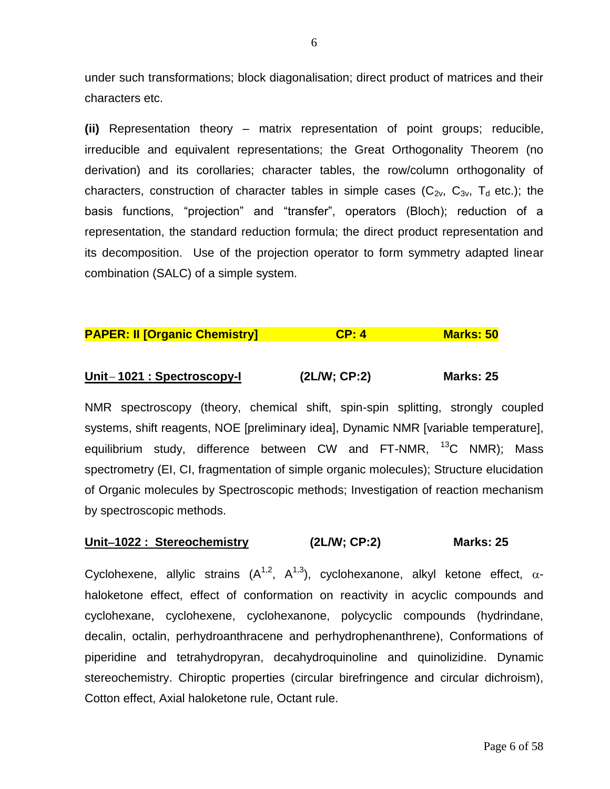under such transformations; block diagonalisation; direct product of matrices and their characters etc.

**(ii)** Representation theory – matrix representation of point groups; reducible, irreducible and equivalent representations; the Great Orthogonality Theorem (no derivation) and its corollaries; character tables, the row/column orthogonality of characters, construction of character tables in simple cases ( $C_{2v}$ ,  $C_{3v}$ ,  $T_{d}$  etc.); the basis functions, "projection" and "transfer", operators (Bloch); reduction of a representation, the standard reduction formula; the direct product representation and its decomposition. Use of the projection operator to form symmetry adapted linear combination (SALC) of a simple system.

## **PAPER: II [Organic Chemistry] CP: 4 Marks: 50**

## **Unit 1021 : Spectroscopy-I (2L/W; CP:2) Marks: 25**

NMR spectroscopy (theory, chemical shift, spin-spin splitting, strongly coupled systems, shift reagents, NOE [preliminary idea], Dynamic NMR [variable temperature], equilibrium study, difference between CW and FT-NMR, <sup>13</sup>C NMR); Mass spectrometry (EI, CI, fragmentation of simple organic molecules); Structure elucidation of Organic molecules by Spectroscopic methods; Investigation of reaction mechanism by spectroscopic methods.

#### **Unit1022 : Stereochemistry****(2L/W; CP:2) Marks: 25**

Cyclohexene, allylic strains  $(A^{1,2}, A^{1,3})$ , cyclohexanone, alkyl ketone effect,  $\alpha$ haloketone effect, effect of conformation on reactivity in acyclic compounds and cyclohexane, cyclohexene, cyclohexanone, polycyclic compounds (hydrindane, decalin, octalin, perhydroanthracene and perhydrophenanthrene), Conformations of piperidine and tetrahydropyran, decahydroquinoline and quinolizidine. Dynamic stereochemistry. Chiroptic properties (circular birefringence and circular dichroism), Cotton effect, Axial haloketone rule, Octant rule.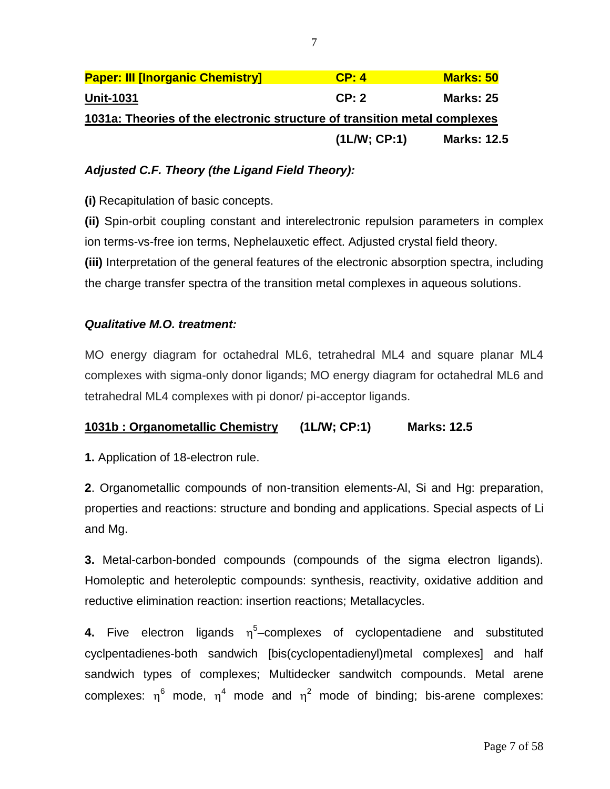| 1031a: Theories of the electronic structure of transition metal complexes |                  |  |  |  |  |
|---------------------------------------------------------------------------|------------------|--|--|--|--|
| CP: 2                                                                     | <b>Marks: 25</b> |  |  |  |  |
| CP: 4                                                                     | <b>Marks: 50</b> |  |  |  |  |
|                                                                           |                  |  |  |  |  |

## *Adjusted C.F. Theory (the Ligand Field Theory):*

**(i)** Recapitulation of basic concepts.

**(ii)** Spin-orbit coupling constant and interelectronic repulsion parameters in complex ion terms-vs-free ion terms, Nephelauxetic effect. Adjusted crystal field theory. **(iii)** Interpretation of the general features of the electronic absorption spectra, including the charge transfer spectra of the transition metal complexes in aqueous solutions.

## *Qualitative M.O. treatment:*

MO energy diagram for octahedral ML6, tetrahedral ML4 and square planar ML4 complexes with sigma-only donor ligands; MO energy diagram for octahedral ML6 and tetrahedral ML4 complexes with pi donor/ pi-acceptor ligands.

## **1031b : Organometallic Chemistry (1L/W; CP:1) Marks: 12.5**

**1.** Application of 18-electron rule.

**2**. Organometallic compounds of non-transition elements-Al, Si and Hg: preparation, properties and reactions: structure and bonding and applications. Special aspects of Li and Mg.

**3.** Metal-carbon-bonded compounds (compounds of the sigma electron ligands). Homoleptic and heteroleptic compounds: synthesis, reactivity, oxidative addition and reductive elimination reaction: insertion reactions; Metallacycles.

**4.** Five electron ligands n<sup>5</sup>-complexes of cyclopentadiene and substituted cyclpentadienes-both sandwich [bis(cyclopentadienyl)metal complexes] and half sandwich types of complexes; Multidecker sandwitch compounds. Metal arene complexes:  $\eta^6$  mode,  $\eta^4$  mode and  $\eta^2$  mode of binding; bis-arene complexes: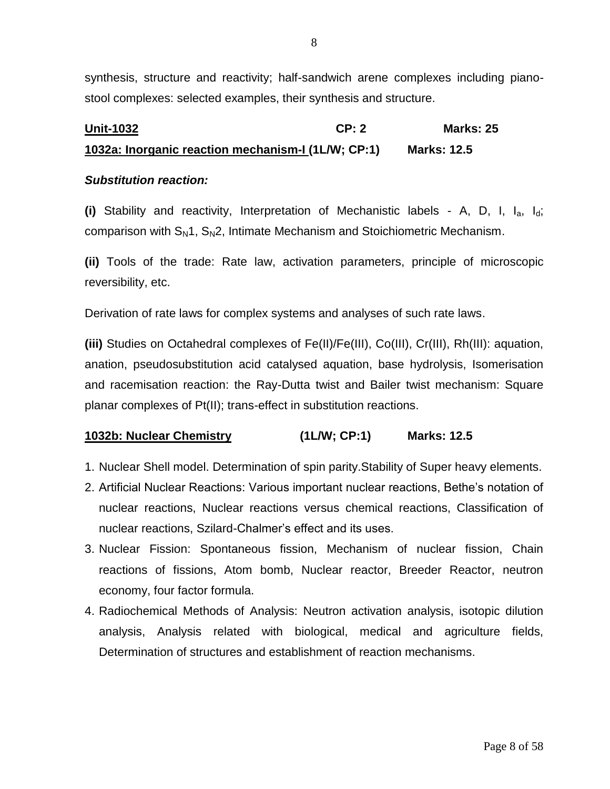synthesis, structure and reactivity; half-sandwich arene complexes including pianostool complexes: selected examples, their synthesis and structure.

## **Unit-1032 CP: 2 Marks: 25 1032a: Inorganic reaction mechanism-I (1L/W; CP:1) Marks: 12.5**

### *Substitution reaction:*

**(i)** Stability and reactivity, Interpretation of Mechanistic labels - A, D, I, Ia, Id; comparison with  $S_N1$ ,  $S_N2$ , Intimate Mechanism and Stoichiometric Mechanism.

**(ii)** Tools of the trade: Rate law, activation parameters, principle of microscopic reversibility, etc.

Derivation of rate laws for complex systems and analyses of such rate laws.

**(iii)** Studies on Octahedral complexes of Fe(II)/Fe(III), Co(III), Cr(III), Rh(III): aquation, anation, pseudosubstitution acid catalysed aquation, base hydrolysis, Isomerisation and racemisation reaction: the Ray-Dutta twist and Bailer twist mechanism: Square planar complexes of Pt(II); trans-effect in substitution reactions.

## **1032b: Nuclear Chemistry (1L/W; CP:1) Marks: 12.5**

- 1. Nuclear Shell model. Determination of spin parity.Stability of Super heavy elements.
- 2. Artificial Nuclear Reactions: Various important nuclear reactions, Bethe's notation of nuclear reactions, Nuclear reactions versus chemical reactions, Classification of nuclear reactions, Szilard-Chalmer's effect and its uses.
- 3. Nuclear Fission: Spontaneous fission, Mechanism of nuclear fission, Chain reactions of fissions, Atom bomb, Nuclear reactor, Breeder Reactor, neutron economy, four factor formula.
- 4. Radiochemical Methods of Analysis: Neutron activation analysis, isotopic dilution analysis, Analysis related with biological, medical and agriculture fields, Determination of structures and establishment of reaction mechanisms.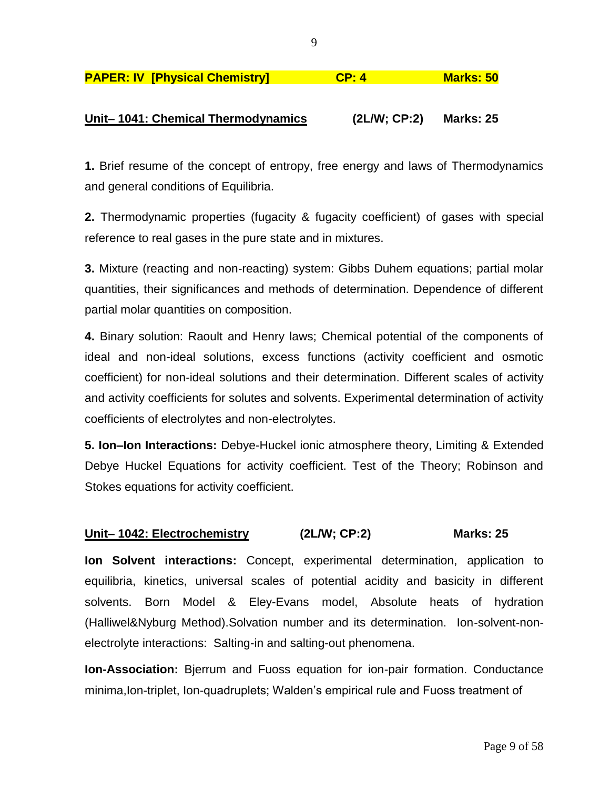| <b>PAPER: IV [Physical Chemistry]</b> | CP: 4 | <b>Marks: 50</b> |
|---------------------------------------|-------|------------------|
|                                       |       |                  |

## **Unit– 1041: Chemical Thermodynamics (2L/W; CP:2) Marks: 25**

**1.** Brief resume of the concept of entropy, free energy and laws of Thermodynamics and general conditions of Equilibria.

**2.** Thermodynamic properties (fugacity & fugacity coefficient) of gases with special reference to real gases in the pure state and in mixtures.

**3.** Mixture (reacting and non-reacting) system: Gibbs Duhem equations; partial molar quantities, their significances and methods of determination. Dependence of different partial molar quantities on composition.

**4.** Binary solution: Raoult and Henry laws; Chemical potential of the components of ideal and non-ideal solutions, excess functions (activity coefficient and osmotic coefficient) for non-ideal solutions and their determination. Different scales of activity and activity coefficients for solutes and solvents. Experimental determination of activity coefficients of electrolytes and non-electrolytes.

**5. Ion–Ion Interactions:** Debye-Huckel ionic atmosphere theory, Limiting & Extended Debye Huckel Equations for activity coefficient. Test of the Theory; Robinson and Stokes equations for activity coefficient.

#### **Unit– 1042: Electrochemistry (2L/W; CP:2) Marks: 25**

**Ion Solvent interactions:** Concept, experimental determination, application to equilibria, kinetics, universal scales of potential acidity and basicity in different solvents. Born Model & Eley-Evans model, Absolute heats of hydration (Halliwel&Nyburg Method).Solvation number and its determination. Ion-solvent-nonelectrolyte interactions: Salting-in and salting-out phenomena.

**Ion-Association:** Bjerrum and Fuoss equation for ion-pair formation. Conductance minima,Ion-triplet, Ion-quadruplets; Walden's empirical rule and Fuoss treatment of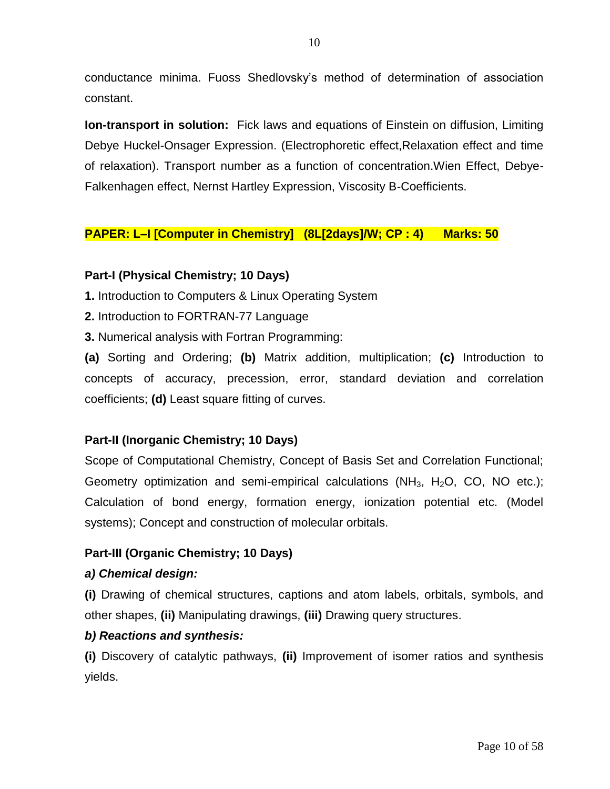conductance minima. Fuoss Shedlovsky's method of determination of association constant.

**Ion-transport in solution:** Fick laws and equations of Einstein on diffusion, Limiting Debye Huckel-Onsager Expression. (Electrophoretic effect,Relaxation effect and time of relaxation). Transport number as a function of concentration.Wien Effect, Debye-Falkenhagen effect, Nernst Hartley Expression, Viscosity B-Coefficients.

## **PAPER: L–I [Computer in Chemistry] (8L[2days]/W; CP : 4) Marks: 50**

## **Part-I (Physical Chemistry; 10 Days)**

**1.** Introduction to Computers & Linux Operating System

- **2.** Introduction to FORTRAN-77 Language
- **3.** Numerical analysis with Fortran Programming:

**(a)** Sorting and Ordering; **(b)** Matrix addition, multiplication; **(c)** Introduction to concepts of accuracy, precession, error, standard deviation and correlation coefficients; **(d)** Least square fitting of curves.

## **Part-II (Inorganic Chemistry; 10 Days)**

Scope of Computational Chemistry, Concept of Basis Set and Correlation Functional; Geometry optimization and semi-empirical calculations (NH<sub>3</sub>, H<sub>2</sub>O, CO, NO etc.); Calculation of bond energy, formation energy, ionization potential etc. (Model systems); Concept and construction of molecular orbitals.

## **Part-III (Organic Chemistry; 10 Days)**

## *a) Chemical design:*

**(i)** Drawing of chemical structures, captions and atom labels, orbitals, symbols, and other shapes, **(ii)** Manipulating drawings, **(iii)** Drawing query structures.

## *b) Reactions and synthesis:*

**(i)** Discovery of catalytic pathways, **(ii)** Improvement of isomer ratios and synthesis yields.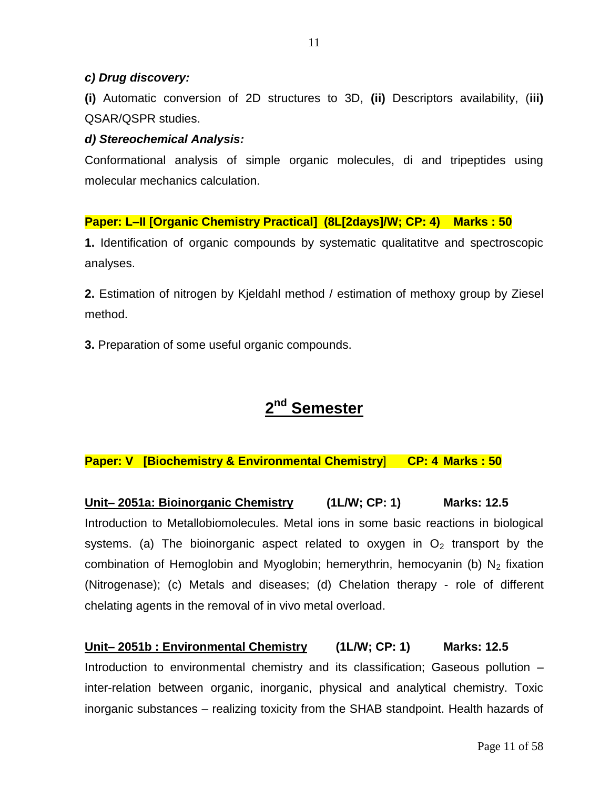### *c) Drug discovery:*

**(i)** Automatic conversion of 2D structures to 3D, **(ii)** Descriptors availability, (**iii)** QSAR/QSPR studies.

### *d) Stereochemical Analysis:*

Conformational analysis of simple organic molecules, di and tripeptides using molecular mechanics calculation.

### **Paper: L–II [Organic Chemistry Practical] (8L[2days]/W; CP: 4) Marks : 50**

**1.** Identification of organic compounds by systematic qualitatitve and spectroscopic analyses.

**2.** Estimation of nitrogen by Kjeldahl method / estimation of methoxy group by Ziesel method.

**3.** Preparation of some useful organic compounds.

## **2 nd Semester**

## **Paper: V [Biochemistry & Environmental Chemistry**] **CP: 4 Marks : 50**

**Unit– 2051a: Bioinorganic Chemistry (1L/W; CP: 1) Marks: 12.5** Introduction to Metallobiomolecules. Metal ions in some basic reactions in biological systems. (a) The bioinorganic aspect related to oxygen in  $O<sub>2</sub>$  transport by the combination of Hemoglobin and Myoglobin; hemerythrin, hemocyanin (b)  $N_2$  fixation (Nitrogenase); (c) Metals and diseases; (d) Chelation therapy - role of different chelating agents in the removal of in vivo metal overload.

**Unit– 2051b : Environmental Chemistry (1L/W; CP: 1) Marks: 12.5** Introduction to environmental chemistry and its classification; Gaseous pollution – inter-relation between organic, inorganic, physical and analytical chemistry. Toxic inorganic substances – realizing toxicity from the SHAB standpoint. Health hazards of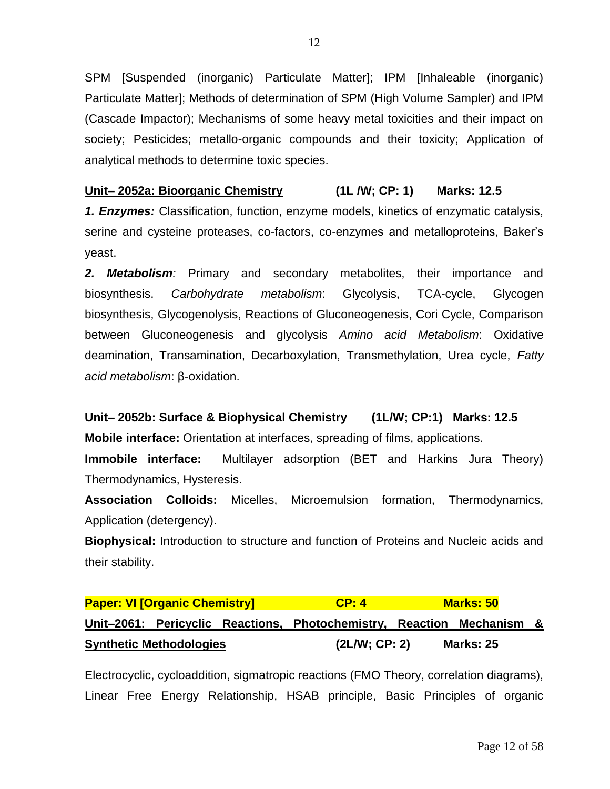SPM [Suspended (inorganic) Particulate Matter]; IPM [Inhaleable (inorganic) Particulate Matter]; Methods of determination of SPM (High Volume Sampler) and IPM (Cascade Impactor); Mechanisms of some heavy metal toxicities and their impact on society; Pesticides; metallo-organic compounds and their toxicity; Application of analytical methods to determine toxic species.

## **Unit– 2052a: Bioorganic Chemistry (1L /W; CP: 1) Marks: 12.5**

*1. Enzymes:* Classification, function, enzyme models, kinetics of enzymatic catalysis, serine and cysteine proteases, co-factors, co-enzymes and metalloproteins, Baker's yeast.

*2. Metabolism:* Primary and secondary metabolites, their importance and biosynthesis. *Carbohydrate metabolism*: Glycolysis, TCA-cycle, Glycogen biosynthesis, Glycogenolysis, Reactions of Gluconeogenesis, Cori Cycle, Comparison between Gluconeogenesis and glycolysis *Amino acid Metabolism*: Oxidative deamination, Transamination, Decarboxylation, Transmethylation, Urea cycle, *Fatty acid metabolism*: β-oxidation.

**Unit– 2052b: Surface & Biophysical Chemistry (1L/W; CP:1) Marks: 12.5 Mobile interface:** Orientation at interfaces, spreading of films, applications.

**Immobile interface:** Multilayer adsorption (BET and Harkins Jura Theory) Thermodynamics, Hysteresis.

**Association Colloids:** Micelles, Microemulsion formation, Thermodynamics, Application (detergency).

**Biophysical:** Introduction to structure and function of Proteins and Nucleic acids and their stability.

## **Paper: VI [Organic Chemistry] CP: 4 Marks: 50 Unit–2061: Pericyclic Reactions, Photochemistry, Reaction Mechanism & Synthetic Methodologies (2L/W; CP: 2) Marks: 25**

Electrocyclic, cycloaddition, sigmatropic reactions (FMO Theory, correlation diagrams), Linear Free Energy Relationship, HSAB principle, Basic Principles of organic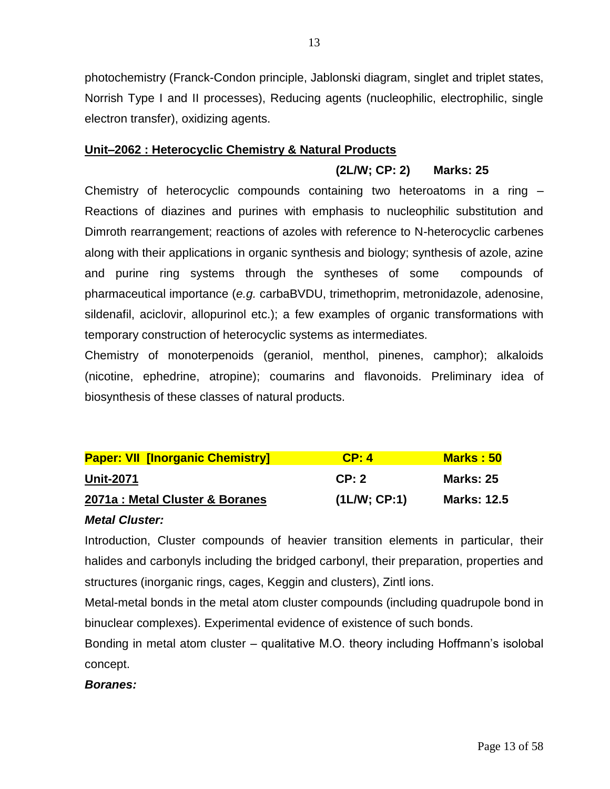photochemistry (Franck-Condon principle, Jablonski diagram, singlet and triplet states, Norrish Type I and II processes), Reducing agents (nucleophilic, electrophilic, single electron transfer), oxidizing agents.

### **Unit–2062 : Heterocyclic Chemistry & Natural Products**

## **(2L/W; CP: 2) Marks: 25**

Chemistry of heterocyclic compounds containing two heteroatoms in a ring – Reactions of diazines and purines with emphasis to nucleophilic substitution and Dimroth rearrangement; reactions of azoles with reference to N-heterocyclic carbenes along with their applications in organic synthesis and biology; synthesis of azole, azine and purine ring systems through the syntheses of some compounds of pharmaceutical importance (*e.g.* carbaBVDU, trimethoprim, metronidazole, adenosine, sildenafil, aciclovir, allopurinol etc.); a few examples of organic transformations with temporary construction of heterocyclic systems as intermediates.

Chemistry of monoterpenoids (geraniol, menthol, pinenes, camphor); alkaloids (nicotine, ephedrine, atropine); coumarins and flavonoids. Preliminary idea of biosynthesis of these classes of natural products.

| <b>Paper: VII [Inorganic Chemistry]</b> | CP: 4       | <b>Marks: 50</b>   |
|-----------------------------------------|-------------|--------------------|
| <b>Unit-2071</b>                        | CP: 2       | <b>Marks: 25</b>   |
| 2071a : Metal Cluster & Boranes         | (1LM; CP:1) | <b>Marks: 12.5</b> |

#### *Metal Cluster:*

Introduction, Cluster compounds of heavier transition elements in particular, their halides and carbonyls including the bridged carbonyl, their preparation, properties and structures (inorganic rings, cages, Keggin and clusters), Zintl ions.

Metal-metal bonds in the metal atom cluster compounds (including quadrupole bond in binuclear complexes). Experimental evidence of existence of such bonds.

Bonding in metal atom cluster – qualitative M.O. theory including Hoffmann's isolobal concept.

## *Boranes:*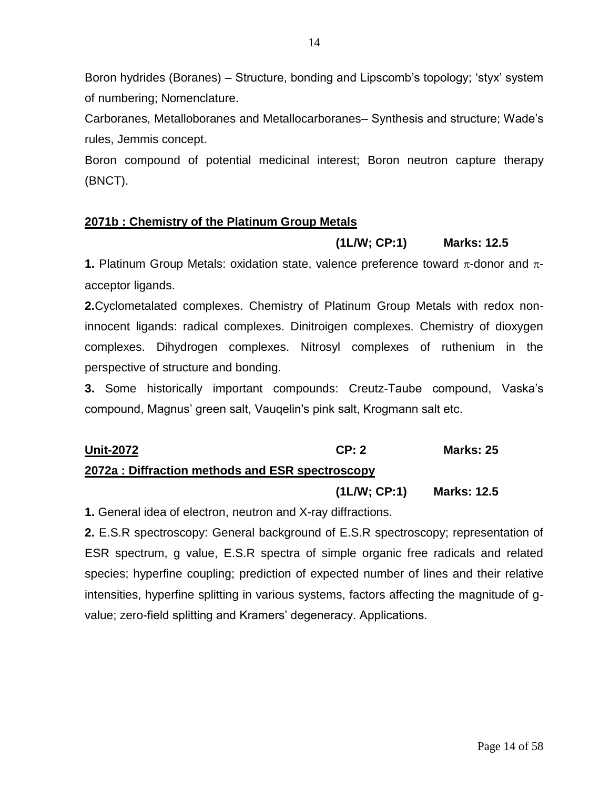Boron hydrides (Boranes) – Structure, bonding and Lipscomb's topology; ‗styx' system of numbering; Nomenclature.

Carboranes, Metalloboranes and Metallocarboranes– Synthesis and structure; Wade's rules, Jemmis concept.

Boron compound of potential medicinal interest; Boron neutron capture therapy (BNCT).

## **2071b : Chemistry of the Platinum Group Metals**

### **(1L/W; CP:1) Marks: 12.5**

**1.** Platinum Group Metals: oxidation state, valence preference toward  $\pi$ -donor and  $\pi$ acceptor ligands.

**2.**Cyclometalated complexes. Chemistry of Platinum Group Metals with redox noninnocent ligands: radical complexes. Dinitroigen complexes. Chemistry of dioxygen complexes. Dihydrogen complexes. Nitrosyl complexes of ruthenium in the perspective of structure and bonding.

**3.** Some historically important compounds: Creutz-Taube compound, Vaska's compound, Magnus' green salt, Vauqelin's pink salt, Krogmann salt etc.

# **Unit-2072 CP: 2 Marks: 25**

## **2072a : Diffraction methods and ESR spectroscopy**

#### **(1L/W; CP:1) Marks: 12.5**

**1.** General idea of electron, neutron and X-ray diffractions.

**2.** E.S.R spectroscopy: General background of E.S.R spectroscopy; representation of ESR spectrum, g value, E.S.R spectra of simple organic free radicals and related species; hyperfine coupling; prediction of expected number of lines and their relative intensities, hyperfine splitting in various systems, factors affecting the magnitude of gvalue; zero-field splitting and Kramers' degeneracy. Applications.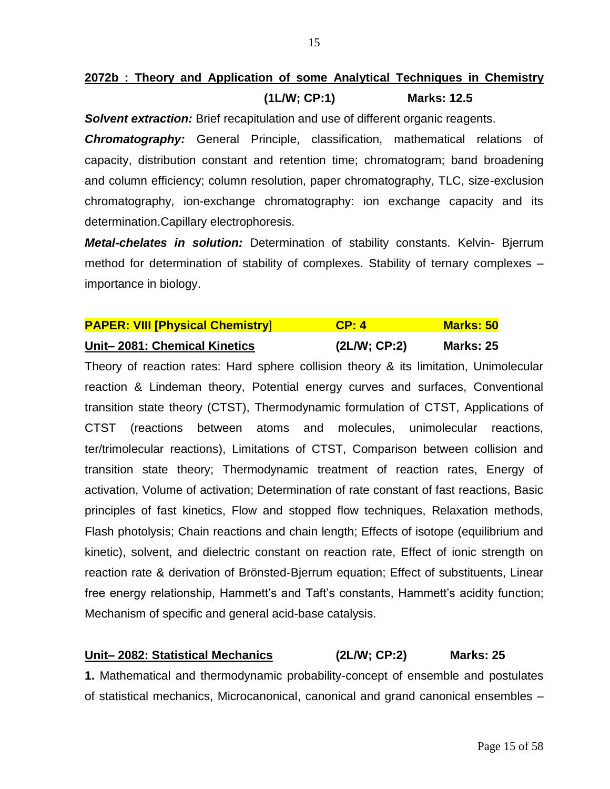## **2072b : Theory and Application of some Analytical Techniques in Chemistry (1L/W; CP:1) Marks: 12.5**

**Solvent extraction:** Brief recapitulation and use of different organic reagents.

*Chromatography:* General Principle, classification, mathematical relations of capacity, distribution constant and retention time; chromatogram; band broadening and column efficiency; column resolution, paper chromatography, TLC, size-exclusion chromatography, ion-exchange chromatography: ion exchange capacity and its determination.Capillary electrophoresis.

*Metal-chelates in solution:* Determination of stability constants. Kelvin- Bjerrum method for determination of stability of complexes. Stability of ternary complexes – importance in biology.

| <b>PAPER: VIII [Physical Chemistry]</b> | CP: 4       | <b>Marks: 50</b> |
|-----------------------------------------|-------------|------------------|
| Unit-2081: Chemical Kinetics            | (2LM; CP:2) | <b>Marks: 25</b> |

Theory of reaction rates: Hard sphere collision theory & its limitation, Unimolecular reaction & Lindeman theory, Potential energy curves and surfaces, Conventional transition state theory (CTST), Thermodynamic formulation of CTST, Applications of CTST (reactions between atoms and molecules, unimolecular reactions, ter/trimolecular reactions), Limitations of CTST, Comparison between collision and transition state theory; Thermodynamic treatment of reaction rates, Energy of activation, Volume of activation; Determination of rate constant of fast reactions, Basic principles of fast kinetics, Flow and stopped flow techniques, Relaxation methods, Flash photolysis; Chain reactions and chain length; Effects of isotope (equilibrium and kinetic), solvent, and dielectric constant on reaction rate, Effect of ionic strength on reaction rate & derivation of Brönsted-Bjerrum equation; Effect of substituents, Linear free energy relationship, Hammett's and Taft's constants, Hammett's acidity function; Mechanism of specific and general acid-base catalysis.

## **Unit– 2082: Statistical Mechanics (2L/W; CP:2) Marks: 25**

**1.** Mathematical and thermodynamic probability-concept of ensemble and postulates of statistical mechanics, Microcanonical, canonical and grand canonical ensembles –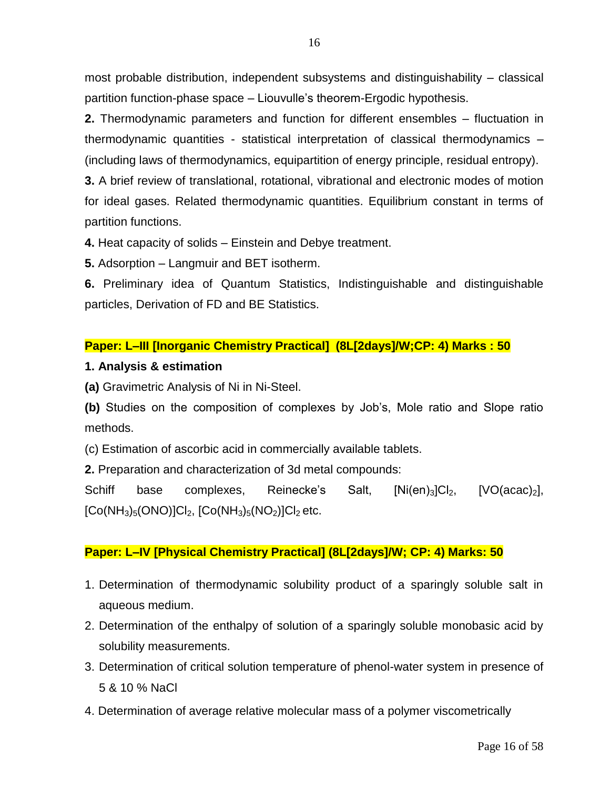most probable distribution, independent subsystems and distinguishability – classical partition function-phase space – Liouvulle's theorem-Ergodic hypothesis.

**2.** Thermodynamic parameters and function for different ensembles – fluctuation in thermodynamic quantities - statistical interpretation of classical thermodynamics – (including laws of thermodynamics, equipartition of energy principle, residual entropy).

**3.** A brief review of translational, rotational, vibrational and electronic modes of motion for ideal gases. Related thermodynamic quantities. Equilibrium constant in terms of partition functions.

**4.** Heat capacity of solids – Einstein and Debye treatment.

**5.** Adsorption – Langmuir and BET isotherm.

**6.** Preliminary idea of Quantum Statistics, Indistinguishable and distinguishable particles, Derivation of FD and BE Statistics.

## **Paper: L–III [Inorganic Chemistry Practical] (8L[2days]/W;CP: 4) Marks : 50**

## **1. Analysis & estimation**

**(a)** Gravimetric Analysis of Ni in Ni-Steel.

**(b)** Studies on the composition of complexes by Job's, Mole ratio and Slope ratio methods.

(c) Estimation of ascorbic acid in commercially available tablets.

**2.** Preparation and characterization of 3d metal compounds:

Schiff base complexes, Reinecke's Salt,  $[Ni(en)_3]Cl_2$ ,  $[VO(acac)_2]$ ,  $[Co(NH<sub>3</sub>)<sub>5</sub>(ONO)]Cl<sub>2</sub>, [Co(NH<sub>3</sub>)<sub>5</sub>(NO<sub>2</sub>)]Cl<sub>2</sub> etc.$ 

## **Paper: L–IV [Physical Chemistry Practical] (8L[2days]/W; CP: 4) Marks: 50**

- 1. Determination of thermodynamic solubility product of a sparingly soluble salt in aqueous medium.
- 2. Determination of the enthalpy of solution of a sparingly soluble monobasic acid by solubility measurements.
- 3. Determination of critical solution temperature of phenol-water system in presence of 5 & 10 % NaCl
- 4. Determination of average relative molecular mass of a polymer viscometrically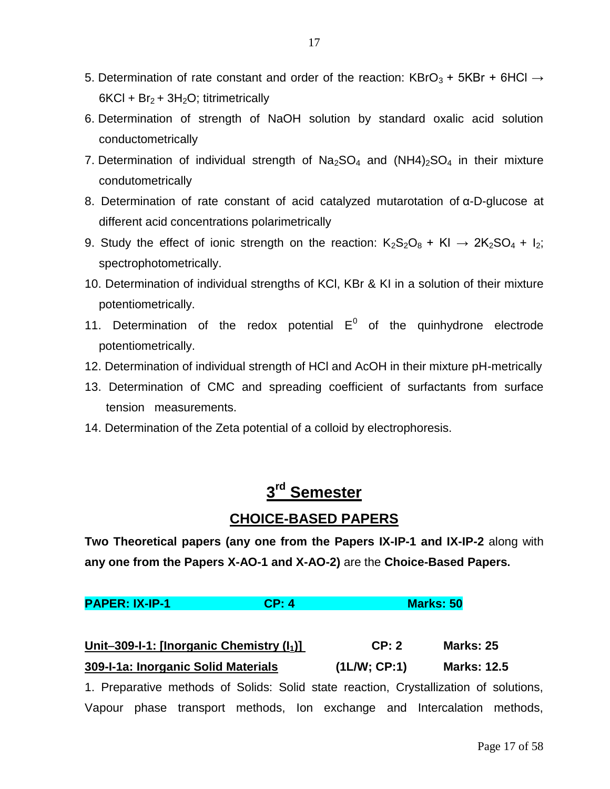- 5. Determination of rate constant and order of the reaction: KBrO<sub>3</sub> + 5KBr + 6HCl  $\rightarrow$  $6KCI + Br<sub>2</sub> + 3H<sub>2</sub>O$ ; titrimetrically
- 6. Determination of strength of NaOH solution by standard oxalic acid solution conductometrically
- 7. Determination of individual strength of  $Na<sub>2</sub>SO<sub>4</sub>$  and  $(NH4)<sub>2</sub>SO<sub>4</sub>$  in their mixture condutometrically
- 8. Determination of rate constant of acid catalyzed mutarotation of α-D-glucose at different acid concentrations polarimetrically
- 9. Study the effect of ionic strength on the reaction:  $K_2S_2O_8 + KI \rightarrow 2K_2SO_4 + I_2$ ; spectrophotometrically.
- 10. Determination of individual strengths of KCl, KBr & KI in a solution of their mixture potentiometrically.
- 11. Determination of the redox potential  $E^0$  of the quinhydrone electrode potentiometrically.
- 12. Determination of individual strength of HCl and AcOH in their mixture pH-metrically
- 13. Determination of CMC and spreading coefficient of surfactants from surface tension measurements.
- 14. Determination of the Zeta potential of a colloid by electrophoresis.

## **3 rd Semester**

## **CHOICE-BASED PAPERS**

**Two Theoretical papers (any one from the Papers IX-IP-1 and IX-IP-2** along with **any one from the Papers X-AO-1 and X-AO-2)** are the **Choice-Based Papers.**

**PAPER: IX-IP-1 CP: 4 Marks: 50**

| Unit-309- $-1$ : [Inorganic Chemistry $(I_1)$ ] | CP: 2       | <b>Marks: 25</b>   |
|-------------------------------------------------|-------------|--------------------|
| 309-I-1a: Inorganic Solid Materials             | (1LM; CP:1) | <b>Marks: 12.5</b> |

1. Preparative methods of Solids: Solid state reaction, Crystallization of solutions, Vapour phase transport methods, Ion exchange and Intercalation methods,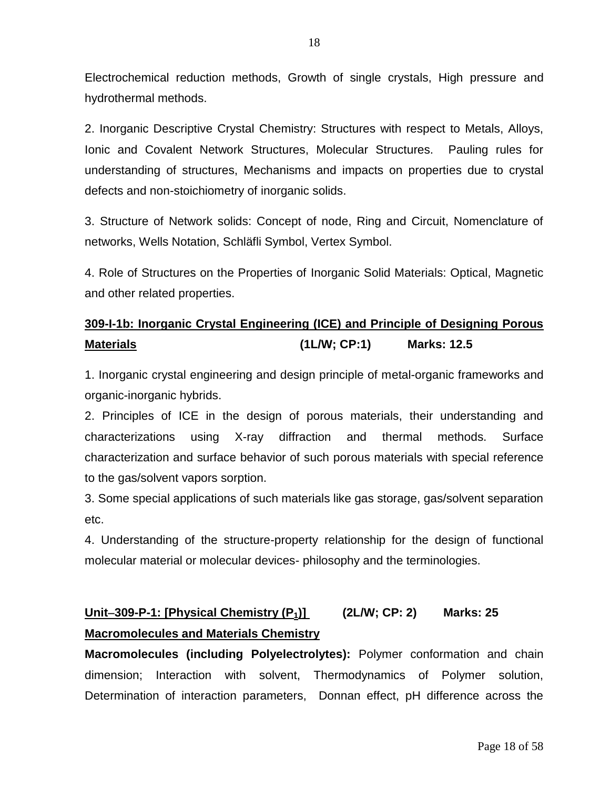Electrochemical reduction methods, Growth of single crystals, High pressure and hydrothermal methods.

2. Inorganic Descriptive Crystal Chemistry: Structures with respect to Metals, Alloys, Ionic and Covalent Network Structures, Molecular Structures. Pauling rules for understanding of structures, Mechanisms and impacts on properties due to crystal defects and non-stoichiometry of inorganic solids.

3. Structure of Network solids: Concept of node, Ring and Circuit, Nomenclature of networks, Wells Notation, Schläfli Symbol, Vertex Symbol.

4. Role of Structures on the Properties of Inorganic Solid Materials: Optical, Magnetic and other related properties.

## **309-I-1b: Inorganic Crystal Engineering (ICE) and Principle of Designing Porous Materials (1L/W; CP:1) Marks: 12.5**

1. Inorganic crystal engineering and design principle of metal-organic frameworks and organic-inorganic hybrids.

2. Principles of ICE in the design of porous materials, their understanding and characterizations using X-ray diffraction and thermal methods. Surface characterization and surface behavior of such porous materials with special reference to the gas/solvent vapors sorption.

3. Some special applications of such materials like gas storage, gas/solvent separation etc.

4. Understanding of the structure-property relationship for the design of functional molecular material or molecular devices- philosophy and the terminologies.

## **Unit309-P-1: [Physical Chemistry (P1)] (2L/W; CP: 2) Marks: 25 Macromolecules and Materials Chemistry**

**Macromolecules (including Polyelectrolytes):** Polymer conformation and chain dimension; Interaction with solvent, Thermodynamics of Polymer solution, Determination of interaction parameters, Donnan effect, pH difference across the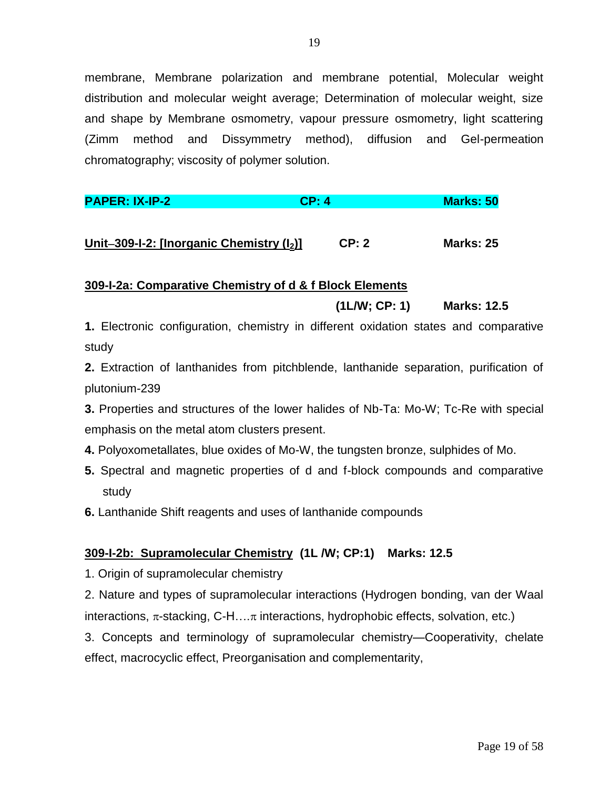membrane, Membrane polarization and membrane potential, Molecular weight distribution and molecular weight average; Determination of molecular weight, size and shape by Membrane osmometry, vapour pressure osmometry, light scattering (Zimm method and Dissymmetry method), diffusion and Gel-permeation chromatography; viscosity of polymer solution.

| <b>PAPER: IX-IP-2</b> | CP: 4 | <b>Marks: 50</b> |
|-----------------------|-------|------------------|
|                       |       |                  |

## **Unit309-I-2: [Inorganic Chemistry (I2)] CP: 2 Marks: 25**

## **309-I-2a: Comparative Chemistry of d & f Block Elements**

## **(1L/W; CP: 1) Marks: 12.5**

**1.** Electronic configuration, chemistry in different oxidation states and comparative study

**2.** Extraction of lanthanides from pitchblende, lanthanide separation, purification of plutonium-239

**3.** Properties and structures of the lower halides of Nb-Ta: Mo-W; Tc-Re with special emphasis on the metal atom clusters present.

- **4.** Polyoxometallates, blue oxides of Mo-W, the tungsten bronze, sulphides of Mo.
- **5.** Spectral and magnetic properties of d and f-block compounds and comparative study
- **6.** Lanthanide Shift reagents and uses of lanthanide compounds

## **309-I-2b: Supramolecular Chemistry (1L /W; CP:1) Marks: 12.5**

- 1. Origin of supramolecular chemistry
- 2. Nature and types of supramolecular interactions (Hydrogen bonding, van der Waal interactions,  $\pi$ -stacking, C-H… $\pi$  interactions, hydrophobic effects, solvation, etc.)

3. Concepts and terminology of supramolecular chemistry—Cooperativity, chelate effect, macrocyclic effect, Preorganisation and complementarity,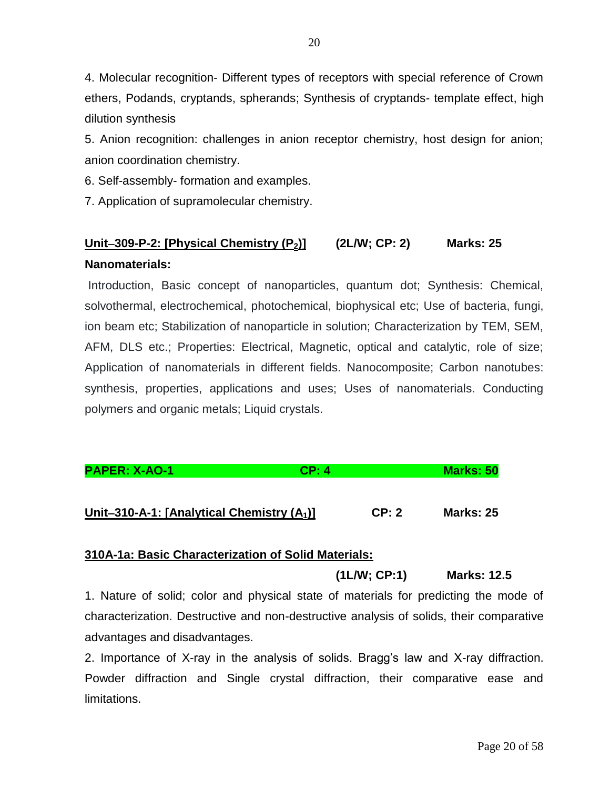4. Molecular recognition- Different types of receptors with special reference of Crown ethers, Podands, cryptands, spherands; Synthesis of cryptands- template effect, high dilution synthesis

5. Anion recognition: challenges in anion receptor chemistry, host design for anion; anion coordination chemistry.

6. Self-assembly- formation and examples.

7. Application of supramolecular chemistry.

## **Unit309-P-2: [Physical Chemistry (P2)] (2L/W; CP: 2) Marks: 25 Nanomaterials:**

Introduction, Basic concept of nanoparticles, quantum dot; Synthesis: Chemical, solvothermal, electrochemical, photochemical, biophysical etc; Use of bacteria, fungi, ion beam etc; Stabilization of nanoparticle in solution; Characterization by TEM, SEM, AFM, DLS etc.; Properties: Electrical, Magnetic, optical and catalytic, role of size; Application of nanomaterials in different fields. Nanocomposite; Carbon nanotubes: synthesis, properties, applications and uses; Uses of nanomaterials. Conducting polymers and organic metals; Liquid crystals.

**PAPER: X-AO-1 CP: 4 Marks: 50**

**Unit310-A-1: [Analytical Chemistry (A1)] CP: 2 Marks: 25**

## **310A-1a: Basic Characterization of Solid Materials:**

**(1L/W; CP:1) Marks: 12.5** 

1. Nature of solid; color and physical state of materials for predicting the mode of characterization. Destructive and non-destructive analysis of solids, their comparative advantages and disadvantages.

2. Importance of X-ray in the analysis of solids. Bragg's law and X-ray diffraction. Powder diffraction and Single crystal diffraction, their comparative ease and limitations.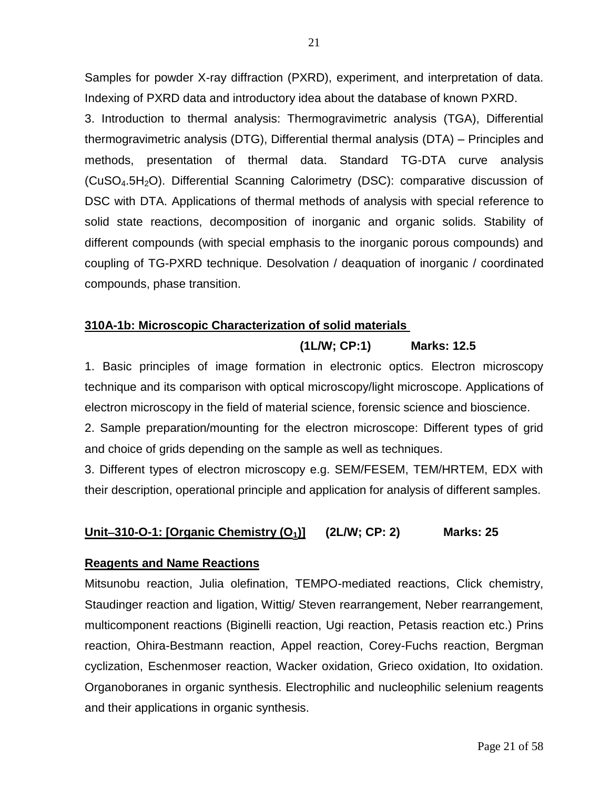Samples for powder X-ray diffraction (PXRD), experiment, and interpretation of data. Indexing of PXRD data and introductory idea about the database of known PXRD.

3. Introduction to thermal analysis: Thermogravimetric analysis (TGA), Differential thermogravimetric analysis (DTG), Differential thermal analysis (DTA) – Principles and methods, presentation of thermal data. Standard TG-DTA curve analysis (CuSO4.5H2O). Differential Scanning Calorimetry (DSC): comparative discussion of DSC with DTA. Applications of thermal methods of analysis with special reference to solid state reactions, decomposition of inorganic and organic solids. Stability of different compounds (with special emphasis to the inorganic porous compounds) and coupling of TG-PXRD technique. Desolvation / deaquation of inorganic / coordinated compounds, phase transition.

## **310A-1b: Microscopic Characterization of solid materials**

## **(1L/W; CP:1) Marks: 12.5**

1. Basic principles of image formation in electronic optics. Electron microscopy technique and its comparison with optical microscopy/light microscope. Applications of electron microscopy in the field of material science, forensic science and bioscience.

2. Sample preparation/mounting for the electron microscope: Different types of grid and choice of grids depending on the sample as well as techniques.

3. Different types of electron microscopy e.g. SEM/FESEM, TEM/HRTEM, EDX with their description, operational principle and application for analysis of different samples.

## **Unit310-O-1: [Organic Chemistry (O1)] (2L/W; CP: 2) Marks: 25**

## **Reagents and Name Reactions**

Mitsunobu reaction, Julia olefination, TEMPO-mediated reactions, Click chemistry, Staudinger reaction and ligation, Wittig/ Steven rearrangement, Neber rearrangement, multicomponent reactions (Biginelli reaction, Ugi reaction, Petasis reaction etc.) Prins reaction, Ohira-Bestmann reaction, Appel reaction, Corey-Fuchs reaction, Bergman cyclization, Eschenmoser reaction, Wacker oxidation, Grieco oxidation, Ito oxidation. Organoboranes in organic synthesis. Electrophilic and nucleophilic selenium reagents and their applications in organic synthesis.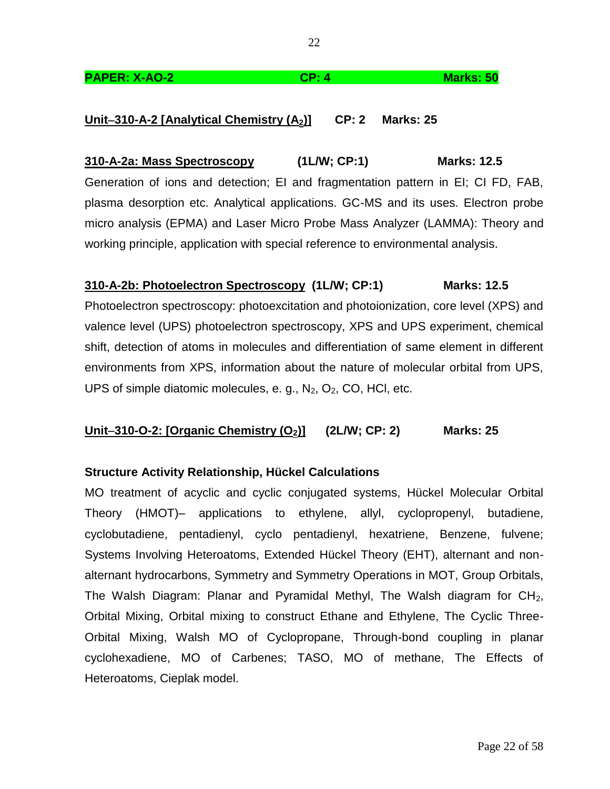### **PAPER: X-AO-2 CP: 4 Marks: 50**

## **Unit310-A-2 [Analytical Chemistry (A2)] CP: 2 Marks: 25**

**310-A-2a: Mass Spectroscopy (1L/W; CP:1) Marks: 12.5** Generation of ions and detection; EI and fragmentation pattern in EI; CI FD, FAB, plasma desorption etc. Analytical applications. GC-MS and its uses. Electron probe micro analysis (EPMA) and Laser Micro Probe Mass Analyzer (LAMMA): Theory and working principle, application with special reference to environmental analysis.

## **310-A-2b: Photoelectron Spectroscopy (1L/W; CP:1) Marks: 12.5**

Photoelectron spectroscopy: photoexcitation and photoionization, core level (XPS) and valence level (UPS) photoelectron spectroscopy, XPS and UPS experiment, chemical shift, detection of atoms in molecules and differentiation of same element in different environments from XPS, information about the nature of molecular orbital from UPS, UPS of simple diatomic molecules, e. g.,  $N_2$ ,  $O_2$ , CO, HCI, etc.

## **Unit310-O-2: [Organic Chemistry (O2)] (2L/W; CP: 2) Marks: 25**

## **Structure Activity Relationship, Hückel Calculations**

MO treatment of acyclic and cyclic conjugated systems, Hückel Molecular Orbital Theory (HMOT)– applications to ethylene, allyl, cyclopropenyl, butadiene, cyclobutadiene, pentadienyl, cyclo pentadienyl, hexatriene, Benzene, fulvene; Systems Involving Heteroatoms, Extended Hückel Theory (EHT), alternant and nonalternant hydrocarbons, Symmetry and Symmetry Operations in MOT, Group Orbitals, The Walsh Diagram: Planar and Pyramidal Methyl, The Walsh diagram for  $CH<sub>2</sub>$ , Orbital Mixing, Orbital mixing to construct Ethane and Ethylene, The Cyclic Three-Orbital Mixing, Walsh MO of Cyclopropane, Through-bond coupling in planar cyclohexadiene, MO of Carbenes; TASO, MO of methane, The Effects of Heteroatoms, Cieplak model.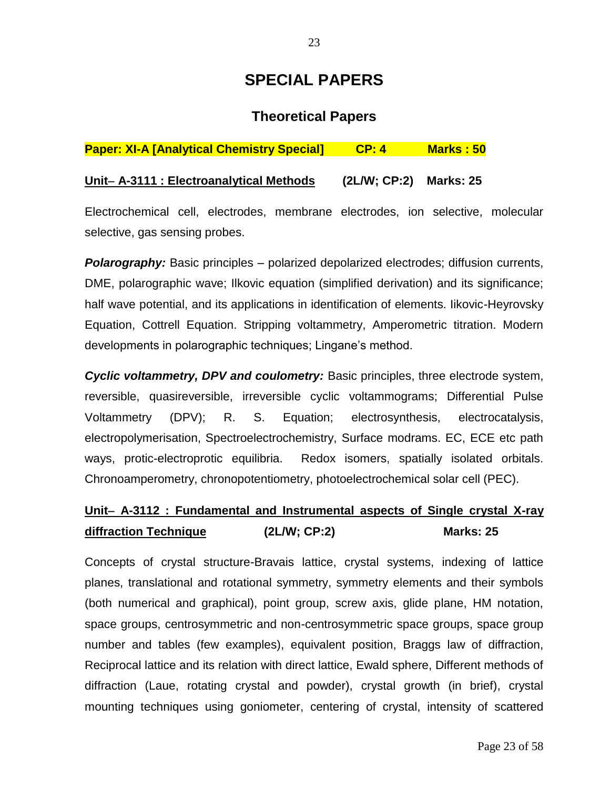## **SPECIAL PAPERS**

## **Theoretical Papers**

## **Paper: XI-A [Analytical Chemistry Special] CP: 4 Marks : 50**

## **Unit A-3111 : Electroanalytical Methods (2L/W; CP:2) Marks: 25**

Electrochemical cell, electrodes, membrane electrodes, ion selective, molecular selective, gas sensing probes.

*Polarography:* Basic principles – polarized depolarized electrodes; diffusion currents, DME, polarographic wave; Ilkovic equation (simplified derivation) and its significance; half wave potential, and its applications in identification of elements. Iikovic-Heyrovsky Equation, Cottrell Equation. Stripping voltammetry, Amperometric titration. Modern developments in polarographic techniques; Lingane's method.

*Cyclic voltammetry, DPV and coulometry:* Basic principles, three electrode system, reversible, quasireversible, irreversible cyclic voltammograms; Differential Pulse Voltammetry (DPV); R. S. Equation; electrosynthesis, electrocatalysis, electropolymerisation, Spectroelectrochemistry, Surface modrams. EC, ECE etc path ways, protic-electroprotic equilibria. Redox isomers, spatially isolated orbitals. Chronoamperometry, chronopotentiometry, photoelectrochemical solar cell (PEC).

## **Unit A-3112 : Fundamental and Instrumental aspects of Single crystal X-ray diffraction Technique (2L/W; CP:2) Marks: 25**

Concepts of crystal structure-Bravais lattice, crystal systems, indexing of lattice planes, translational and rotational symmetry, symmetry elements and their symbols (both numerical and graphical), point group, screw axis, glide plane, HM notation, space groups, centrosymmetric and non-centrosymmetric space groups, space group number and tables (few examples), equivalent position, Braggs law of diffraction, Reciprocal lattice and its relation with direct lattice, Ewald sphere, Different methods of diffraction (Laue, rotating crystal and powder), crystal growth (in brief), crystal mounting techniques using goniometer, centering of crystal, intensity of scattered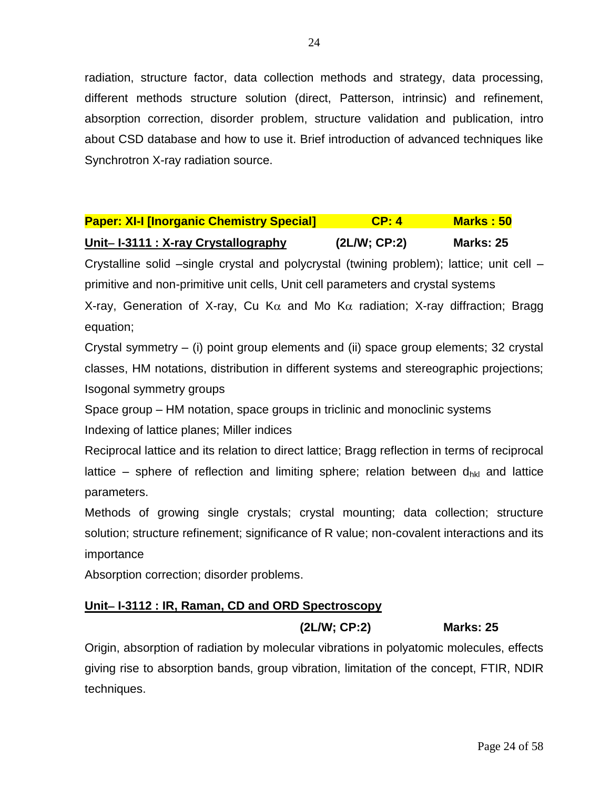radiation, structure factor, data collection methods and strategy, data processing, different methods structure solution (direct, Patterson, intrinsic) and refinement, absorption correction, disorder problem, structure validation and publication, intro about CSD database and how to use it. Brief introduction of advanced techniques like Synchrotron X-ray radiation source.

# **Paper: XI-I [Inorganic Chemistry Special] CP: 4 Marks : 50**

### **Unit I-3111 : X-ray Crystallography (2L/W; CP:2) Marks: 25**

Crystalline solid –single crystal and polycrystal (twining problem); lattice; unit cell – primitive and non-primitive unit cells, Unit cell parameters and crystal systems

X-ray, Generation of X-ray, Cu K $\alpha$  and Mo K $\alpha$  radiation; X-ray diffraction; Bragg equation;

Crystal symmetry – (i) point group elements and (ii) space group elements; 32 crystal classes, HM notations, distribution in different systems and stereographic projections; Isogonal symmetry groups

Space group – HM notation, space groups in triclinic and monoclinic systems Indexing of lattice planes; Miller indices

Reciprocal lattice and its relation to direct lattice; Bragg reflection in terms of reciprocal lattice – sphere of reflection and limiting sphere; relation between  $d_{hkl}$  and lattice parameters.

Methods of growing single crystals; crystal mounting; data collection; structure solution; structure refinement; significance of R value; non-covalent interactions and its importance

Absorption correction; disorder problems.

## **Unit-I-3112 : IR, Raman, CD and ORD Spectroscopy**

## **(2L/W; CP:2) Marks: 25**

Origin, absorption of radiation by molecular vibrations in polyatomic molecules, effects giving rise to absorption bands, group vibration, limitation of the concept, FTIR, NDIR techniques.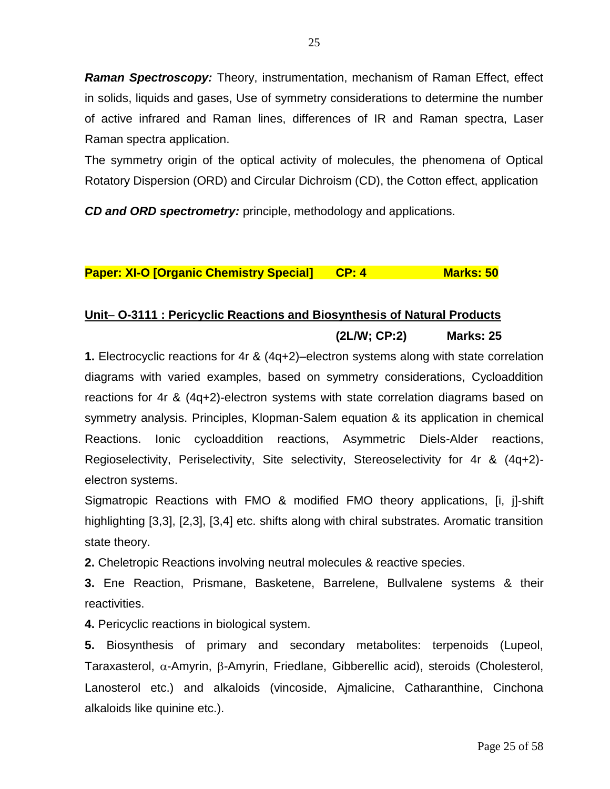*Raman Spectroscopy:* Theory, instrumentation, mechanism of Raman Effect, effect in solids, liquids and gases, Use of symmetry considerations to determine the number of active infrared and Raman lines, differences of IR and Raman spectra, Laser Raman spectra application.

The symmetry origin of the optical activity of molecules, the phenomena of Optical Rotatory Dispersion (ORD) and Circular Dichroism (CD), the Cotton effect, application

*CD and ORD spectrometry:* principle, methodology and applications.

**Paper: XI-O [Organic Chemistry Special] CP: 4 Marks: 50** 

## Unit- O-3111 : Pericyclic Reactions and Biosynthesis of Natural Products **(2L/W; CP:2) Marks: 25**

**1.** Electrocyclic reactions for 4r & (4q+2)–electron systems along with state correlation diagrams with varied examples, based on symmetry considerations, Cycloaddition reactions for 4r & (4q+2)-electron systems with state correlation diagrams based on symmetry analysis. Principles, Klopman-Salem equation & its application in chemical Reactions. Ionic cycloaddition reactions, Asymmetric Diels-Alder reactions, Regioselectivity, Periselectivity, Site selectivity, Stereoselectivity for 4r & (4q+2) electron systems.

Sigmatropic Reactions with FMO & modified FMO theory applications, [i, j]-shift highlighting [3,3], [2,3], [3,4] etc. shifts along with chiral substrates. Aromatic transition state theory.

**2.** Cheletropic Reactions involving neutral molecules & reactive species.

**3.** Ene Reaction, Prismane, Basketene, Barrelene, Bullvalene systems & their reactivities.

**4.** Pericyclic reactions in biological system.

**5.** Biosynthesis of primary and secondary metabolites: terpenoids (Lupeol, Taraxasterol,  $\alpha$ -Amyrin,  $\beta$ -Amyrin, Friedlane, Gibberellic acid), steroids (Cholesterol, Lanosterol etc.) and alkaloids (vincoside, Ajmalicine, Catharanthine, Cinchona alkaloids like quinine etc.).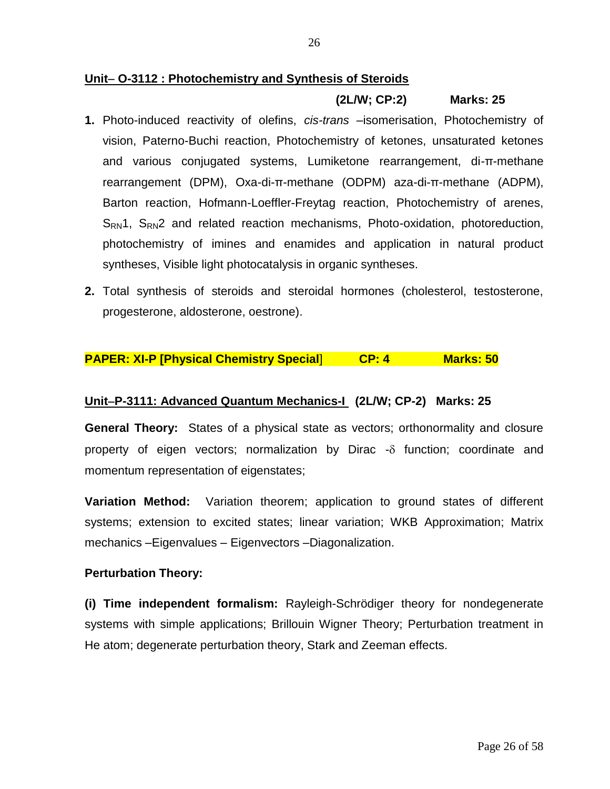#### Unit- O-3112 : Photochemistry and Synthesis of Steroids

#### **(2L/W; CP:2) Marks: 25**

- **1.** Photo-induced reactivity of olefins, *cis-trans* –isomerisation, Photochemistry of vision, Paterno-Buchi reaction, Photochemistry of ketones, unsaturated ketones and various conjugated systems, Lumiketone rearrangement, di-π-methane rearrangement (DPM), Oxa-di-π-methane (ODPM) aza-di-π-methane (ADPM), Barton reaction, Hofmann-Loeffler-Freytag reaction, Photochemistry of arenes,  $S_{\rm RN}$ 1,  $S_{\rm RN}$ 2 and related reaction mechanisms, Photo-oxidation, photoreduction, photochemistry of imines and enamides and application in natural product syntheses, Visible light photocatalysis in organic syntheses.
- **2.** Total synthesis of steroids and steroidal hormones (cholesterol, testosterone, progesterone, aldosterone, oestrone).

#### **PAPER: XI-P [Physical Chemistry Special**] **CP: 4 Marks: 50**

#### **UnitP-3111: Advanced Quantum Mechanics-I (2L/W; CP-2) Marks: 25**

**General Theory:** States of a physical state as vectors; orthonormality and closure property of eigen vectors; normalization by Dirac  $-\delta$  function; coordinate and momentum representation of eigenstates;

**Variation Method:** Variation theorem; application to ground states of different systems; extension to excited states; linear variation; WKB Approximation; Matrix mechanics –Eigenvalues – Eigenvectors –Diagonalization.

#### **Perturbation Theory:**

**(i) Time independent formalism:** Rayleigh-Schrödiger theory for nondegenerate systems with simple applications; Brillouin Wigner Theory; Perturbation treatment in He atom; degenerate perturbation theory, Stark and Zeeman effects.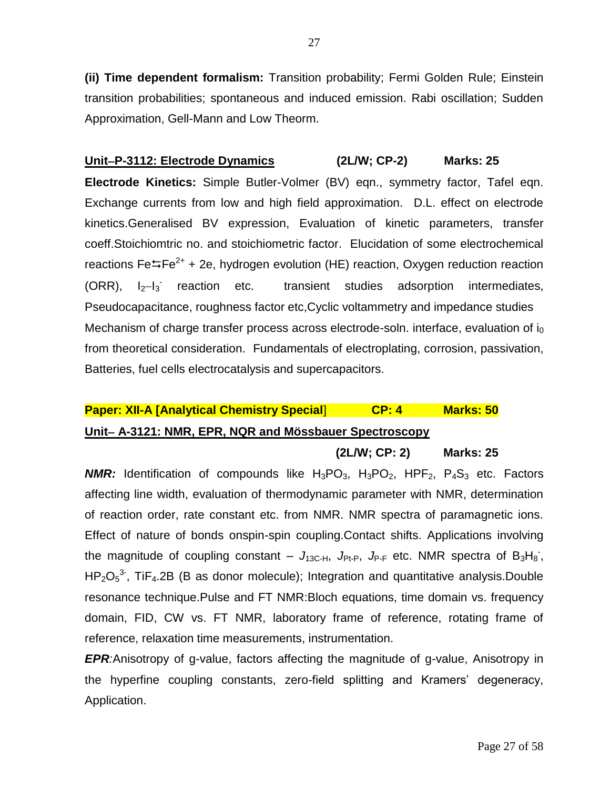**(ii) Time dependent formalism:** Transition probability; Fermi Golden Rule; Einstein transition probabilities; spontaneous and induced emission. Rabi oscillation; Sudden Approximation, Gell-Mann and Low Theorm.

**UnitP-3112: Electrode Dynamics (2L/W; CP-2) Marks: 25 Electrode Kinetics:** Simple Butler-Volmer (BV) eqn., symmetry factor, Tafel eqn. Exchange currents from low and high field approximation. D.L. effect on electrode kinetics.Generalised BV expression, Evaluation of kinetic parameters, transfer coeff.Stoichiomtric no. and stoichiometric factor. Elucidation of some electrochemical reactions Fe $\overline{=}$ Fe<sup>2+</sup> + 2e, hydrogen evolution (HE) reaction, Oxygen reduction reaction  $(ORR)$ ,  $I_2-I_3$ <sup>-</sup> transient studies adsorption intermediates, Pseudocapacitance, roughness factor etc,Cyclic voltammetry and impedance studies Mechanism of charge transfer process across electrode-soln. interface, evaluation of  $i_0$ from theoretical consideration. Fundamentals of electroplating, corrosion, passivation, Batteries, fuel cells electrocatalysis and supercapacitors.

## **Paper: XII-A [Analytical Chemistry Special**] **CP: 4 Marks: 50 Unit A-3121: NMR, EPR, NQR and Mössbauer Spectroscopy**

**(2L/W; CP: 2) Marks: 25**

*NMR:* Identification of compounds like  $H_3PO_3$ ,  $H_3PO_2$ ,  $HPF_2$ ,  $P_4S_3$  etc. Factors affecting line width, evaluation of thermodynamic parameter with NMR, determination of reaction order, rate constant etc. from NMR. NMR spectra of paramagnetic ions. Effect of nature of bonds onspin-spin coupling.Contact shifts. Applications involving the magnitude of coupling constant  $J_{13C-H}$ ,  $J_{Pt-P}$ ,  $J_{P-F}$  etc. NMR spectra of  $B_3H_8$ ,  $HP_2O_5^3$ , TiF<sub>4</sub>.2B (B as donor molecule); Integration and quantitative analysis.Double resonance technique.Pulse and FT NMR:Bloch equations, time domain vs. frequency domain, FID, CW vs. FT NMR, laboratory frame of reference, rotating frame of reference, relaxation time measurements, instrumentation.

*EPR:*Anisotropy of g-value, factors affecting the magnitude of g-value, Anisotropy in the hyperfine coupling constants, zero-field splitting and Kramers' degeneracy, Application.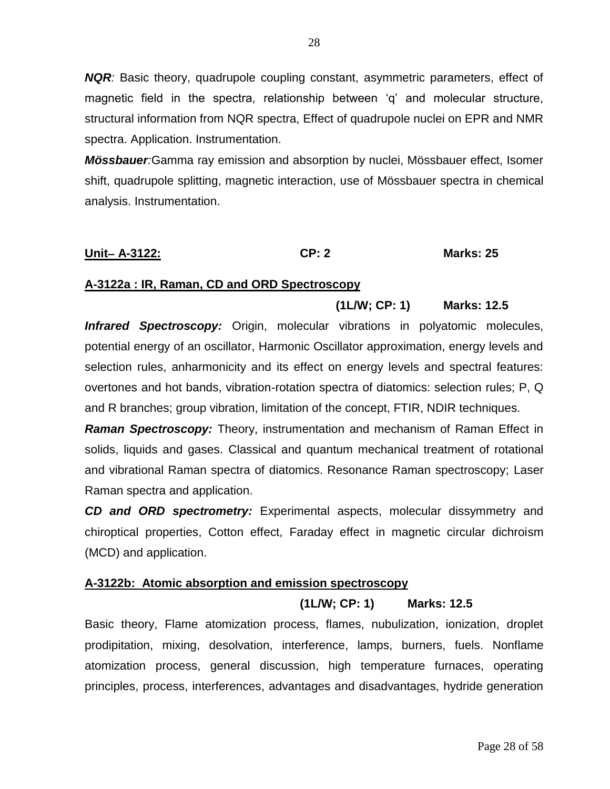*NQR:* Basic theory, quadrupole coupling constant, asymmetric parameters, effect of magnetic field in the spectra, relationship between 'q' and molecular structure, structural information from NQR spectra, Effect of quadrupole nuclei on EPR and NMR spectra. Application. Instrumentation.

*Mössbauer:*Gamma ray emission and absorption by nuclei, Mössbauer effect, Isomer shift, quadrupole splitting, magnetic interaction, use of Mössbauer spectra in chemical analysis. Instrumentation.

## **Unit A-3122: CP: 2 Marks: 25**

## **A-3122a : IR, Raman, CD and ORD Spectroscopy**

## **(1L/W; CP: 1) Marks: 12.5**

**Infrared Spectroscopy:** Origin, molecular vibrations in polyatomic molecules, potential energy of an oscillator, Harmonic Oscillator approximation, energy levels and selection rules, anharmonicity and its effect on energy levels and spectral features: overtones and hot bands, vibration-rotation spectra of diatomics: selection rules; P, Q and R branches; group vibration, limitation of the concept, FTIR, NDIR techniques.

*Raman Spectroscopy:* Theory, instrumentation and mechanism of Raman Effect in solids, liquids and gases. Classical and quantum mechanical treatment of rotational and vibrational Raman spectra of diatomics. Resonance Raman spectroscopy; Laser Raman spectra and application.

*CD and ORD spectrometry:* Experimental aspects, molecular dissymmetry and chiroptical properties, Cotton effect, Faraday effect in magnetic circular dichroism (MCD) and application.

## **A-3122b: Atomic absorption and emission spectroscopy**

## **(1L/W; CP: 1) Marks: 12.5**

Basic theory, Flame atomization process, flames, nubulization, ionization, droplet prodipitation, mixing, desolvation, interference, lamps, burners, fuels. Nonflame atomization process, general discussion, high temperature furnaces, operating principles, process, interferences, advantages and disadvantages, hydride generation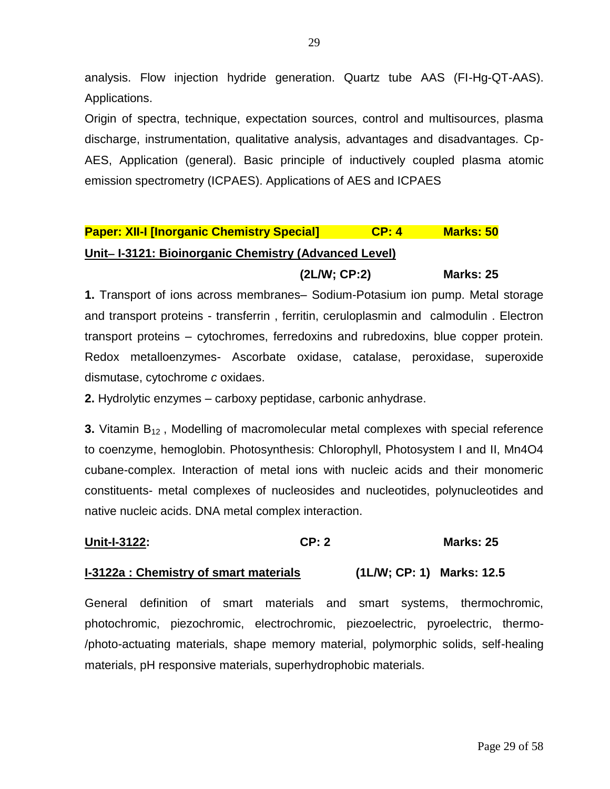analysis. Flow injection hydride generation. Quartz tube AAS (FI-Hg-QT-AAS). Applications.

Origin of spectra, technique, expectation sources, control and multisources, plasma discharge, instrumentation, qualitative analysis, advantages and disadvantages. Cp-AES, Application (general). Basic principle of inductively coupled plasma atomic emission spectrometry (ICPAES). Applications of AES and ICPAES

## **Paper: XII-I [Inorganic Chemistry Special] CP: 4 Marks: 50** Unit-I-3121: Bioinorganic Chemistry (Advanced Level)

**(2L/W; CP:2) Marks: 25**

**1.** Transport of ions across membranes– Sodium-Potasium ion pump. Metal storage and transport proteins - transferrin , ferritin, ceruloplasmin and calmodulin . Electron transport proteins – cytochromes, ferredoxins and rubredoxins, blue copper protein. Redox metalloenzymes- Ascorbate oxidase, catalase, peroxidase, superoxide dismutase, cytochrome *c* oxidaes.

**2.** Hydrolytic enzymes – carboxy peptidase, carbonic anhydrase.

**3.** Vitamin B<sub>12</sub>, Modelling of macromolecular metal complexes with special reference to coenzyme, hemoglobin. Photosynthesis: Chlorophyll, Photosystem I and II, Mn4O4 cubane-complex. Interaction of metal ions with nucleic acids and their monomeric constituents- metal complexes of nucleosides and nucleotides, polynucleotides and native nucleic acids. DNA metal complex interaction.

## **Unit-I-3122: CP: 2 Marks: 25**

## **I-3122a : Chemistry of smart materials (1L/W; CP: 1) Marks: 12.5**

General definition of smart materials and smart systems, thermochromic, photochromic, piezochromic, electrochromic, piezoelectric, pyroelectric, thermo- /photo-actuating materials, shape memory material, polymorphic solids, self-healing materials, pH responsive materials, superhydrophobic materials.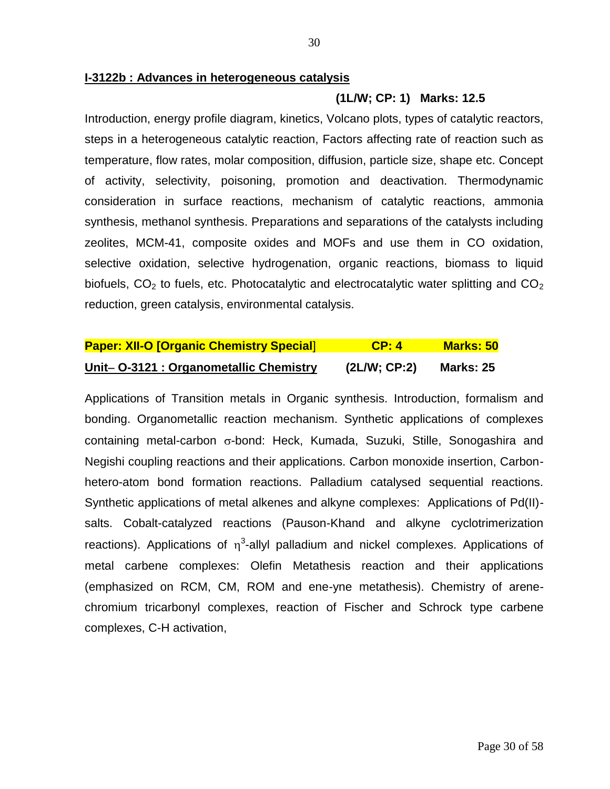#### **I-3122b : Advances in heterogeneous catalysis**

#### **(1L/W; CP: 1) Marks: 12.5**

Introduction, energy profile diagram, kinetics, Volcano plots, types of catalytic reactors, steps in a heterogeneous catalytic reaction, Factors affecting rate of reaction such as temperature, flow rates, molar composition, diffusion, particle size, shape etc. Concept of activity, selectivity, poisoning, promotion and deactivation. Thermodynamic consideration in surface reactions, mechanism of catalytic reactions, ammonia synthesis, methanol synthesis. Preparations and separations of the catalysts including zeolites, MCM-41, composite oxides and MOFs and use them in CO oxidation, selective oxidation, selective hydrogenation, organic reactions, biomass to liquid biofuels,  $CO<sub>2</sub>$  to fuels, etc. Photocatalytic and electrocatalytic water splitting and  $CO<sub>2</sub>$ reduction, green catalysis, environmental catalysis.

| <b>Paper: XII-O [Organic Chemistry Special]</b> | CP: 4       | <b>Marks: 50</b> |
|-------------------------------------------------|-------------|------------------|
| Unit- O-3121 : Organometallic Chemistry         | (2LM; CP:2) | <b>Marks: 25</b> |

Applications of Transition metals in Organic synthesis. Introduction, formalism and bonding. Organometallic reaction mechanism. Synthetic applications of complexes containing metal-carbon  $\sigma$ -bond: Heck, Kumada, Suzuki, Stille, Sonogashira and Negishi coupling reactions and their applications. Carbon monoxide insertion, Carbonhetero-atom bond formation reactions. Palladium catalysed sequential reactions. Synthetic applications of metal alkenes and alkyne complexes: Applications of Pd(II) salts. Cobalt-catalyzed reactions (Pauson-Khand and alkyne cyclotrimerization reactions). Applications of  $\eta^3$ -allyl palladium and nickel complexes. Applications of metal carbene complexes: Olefin Metathesis reaction and their applications (emphasized on RCM, CM, ROM and ene-yne metathesis). Chemistry of arenechromium tricarbonyl complexes, reaction of Fischer and Schrock type carbene complexes, C-H activation,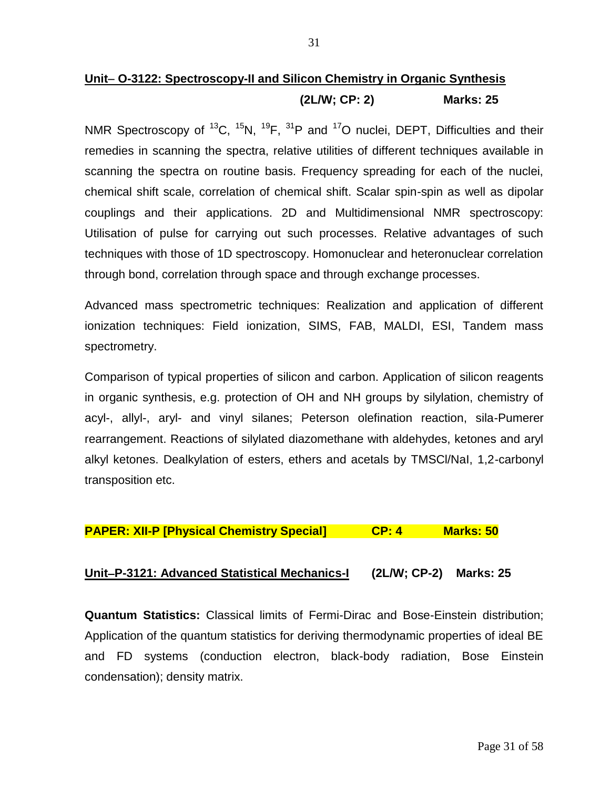## Unit- O-3122: Spectroscopy-II and Silicon Chemistry in Organic Synthesis **(2L/W; CP: 2) Marks: 25**

NMR Spectroscopy of  ${}^{13}C$ ,  ${}^{15}N$ ,  ${}^{19}F$ ,  ${}^{31}P$  and  ${}^{17}O$  nuclei, DEPT, Difficulties and their remedies in scanning the spectra, relative utilities of different techniques available in scanning the spectra on routine basis. Frequency spreading for each of the nuclei, chemical shift scale, correlation of chemical shift. Scalar spin-spin as well as dipolar couplings and their applications. 2D and Multidimensional NMR spectroscopy: Utilisation of pulse for carrying out such processes. Relative advantages of such techniques with those of 1D spectroscopy. Homonuclear and heteronuclear correlation through bond, correlation through space and through exchange processes.

Advanced mass spectrometric techniques: Realization and application of different ionization techniques: Field ionization, SIMS, FAB, MALDI, ESI, Tandem mass spectrometry.

Comparison of typical properties of silicon and carbon. Application of silicon reagents in organic synthesis, e.g. protection of OH and NH groups by silylation, chemistry of acyl-, allyl-, aryl- and vinyl silanes; Peterson olefination reaction, sila-Pumerer rearrangement. Reactions of silylated diazomethane with aldehydes, ketones and aryl alkyl ketones. Dealkylation of esters, ethers and acetals by TMSCl/NaI, 1,2-carbonyl transposition etc.

## **PAPER: XII-P [Physical Chemistry Special] CP: 4 Marks: 50**

## **UnitP-3121: Advanced Statistical Mechanics-I (2L/W; CP-2) Marks: 25**

**Quantum Statistics:** Classical limits of Fermi-Dirac and Bose-Einstein distribution; Application of the quantum statistics for deriving thermodynamic properties of ideal BE and FD systems (conduction electron, black-body radiation, Bose Einstein condensation); density matrix.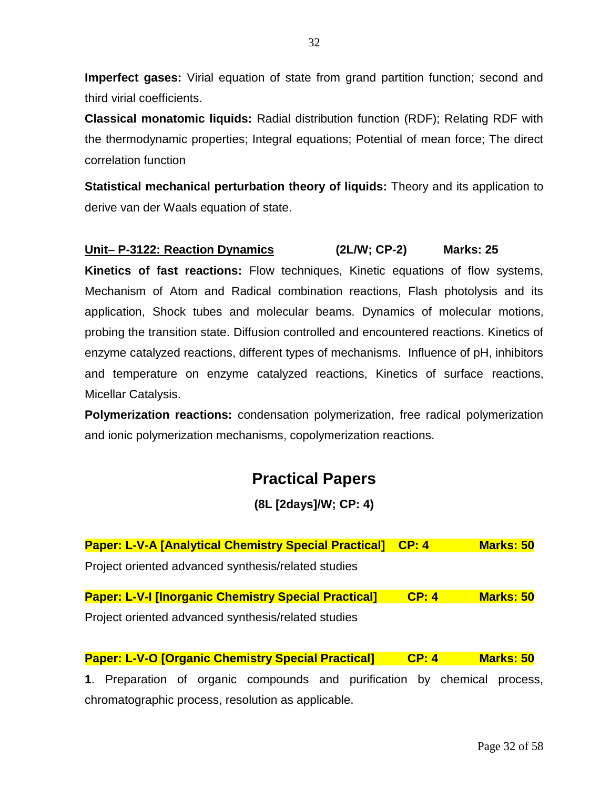**Imperfect gases:** Virial equation of state from grand partition function; second and third virial coefficients.

**Classical monatomic liquids:** Radial distribution function (RDF); Relating RDF with the thermodynamic properties; Integral equations; Potential of mean force; The direct correlation function

**Statistical mechanical perturbation theory of liquids:** Theory and its application to derive van der Waals equation of state.

## **Unit P-3122: Reaction Dynamics (2L/W; CP-2) Marks: 25**

**Kinetics of fast reactions:** Flow techniques, Kinetic equations of flow systems, Mechanism of Atom and Radical combination reactions, Flash photolysis and its application, Shock tubes and molecular beams. Dynamics of molecular motions, probing the transition state. Diffusion controlled and encountered reactions. Kinetics of enzyme catalyzed reactions, different types of mechanisms. Influence of pH, inhibitors and temperature on enzyme catalyzed reactions, Kinetics of surface reactions, Micellar Catalysis.

**Polymerization reactions:** condensation polymerization, free radical polymerization and ionic polymerization mechanisms, copolymerization reactions.

## **Practical Papers**

**(8L [2days]/W; CP: 4)**

| <b>Paper: L-V-A [Analytical Chemistry Special Practical]</b> | $\mathsf{CP: 4}$ | <b>Marks: 50</b> |
|--------------------------------------------------------------|------------------|------------------|
| Project oriented advanced synthesis/related studies          |                  |                  |
| <b>Paper: L-V-I [Inorganic Chemistry Special Practical]</b>  | CP: 4            | <b>Marks: 50</b> |
| Project oriented advanced synthesis/related studies          |                  |                  |

**Paper: L-V-O [Organic Chemistry Special Practical] CP: 4 Marks: 50 1**. Preparation of organic compounds and purification by chemical process, chromatographic process, resolution as applicable.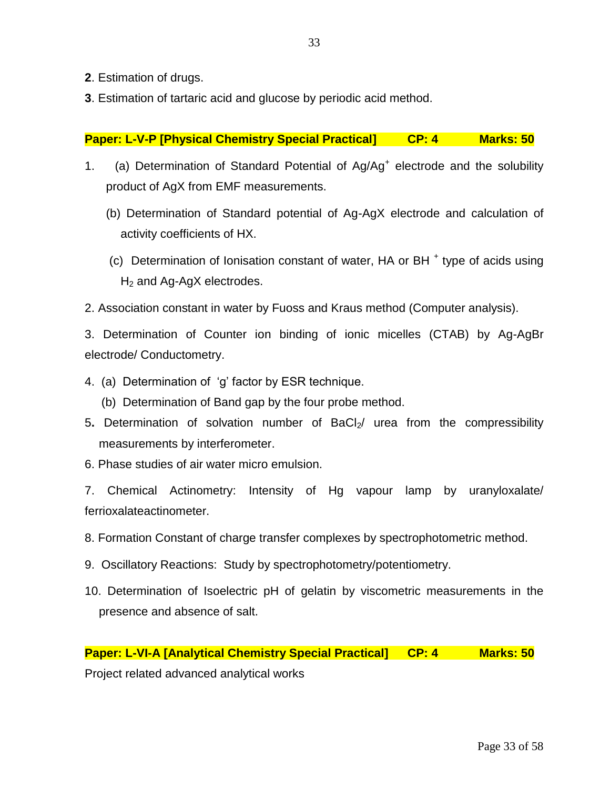- **2**. Estimation of drugs.
- **3**. Estimation of tartaric acid and glucose by periodic acid method.

### **Paper: L-V-P [Physical Chemistry Special Practical] CP: 4 Marks: 50**

- 1. (a) Determination of Standard Potential of Ag/Ag<sup>+</sup> electrode and the solubility product of AgX from EMF measurements.
	- (b) Determination of Standard potential of Ag-AgX electrode and calculation of activity coefficients of HX.
	- (c) Determination of Ionisation constant of water, HA or BH<sup>+</sup> type of acids using  $H<sub>2</sub>$  and Ag-AgX electrodes.
- 2. Association constant in water by Fuoss and Kraus method (Computer analysis).

3. Determination of Counter ion binding of ionic micelles (CTAB) by Ag-AgBr electrode/ Conductometry.

- 4.(a) Determination of ‗g' factor by ESR technique.
	- (b) Determination of Band gap by the four probe method.
- 5. Determination of solvation number of BaCl<sub>2</sub>/ urea from the compressibility measurements by interferometer.
- 6. Phase studies of air water micro emulsion.

7. Chemical Actinometry: Intensity of Hg vapour lamp by uranyloxalate/ ferrioxalateactinometer.

- 8. Formation Constant of charge transfer complexes by spectrophotometric method.
- 9. Oscillatory Reactions: Study by spectrophotometry/potentiometry.
- 10. Determination of Isoelectric pH of gelatin by viscometric measurements in the presence and absence of salt.

Project related advanced analytical works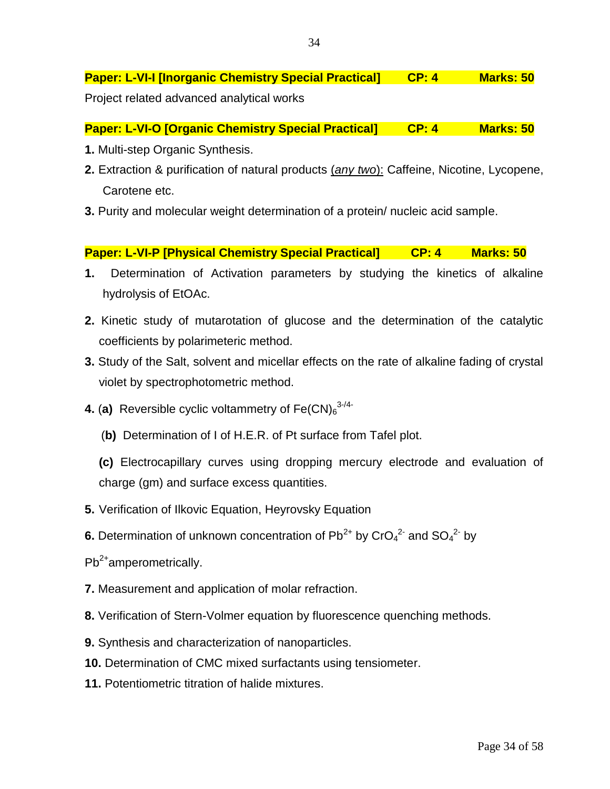**Paper: L-VI-I [Inorganic Chemistry Special Practical] CP: 4 Marks: 50**

Project related advanced analytical works

**Paper: L-VI-O [Organic Chemistry Special Practical] CP: 4 Marks: 50** 

- **1.** Multi-step Organic Synthesis.
- **2.** Extraction & purification of natural products (*any two*): Caffeine, Nicotine, Lycopene, Carotene etc.
- **3.** Purity and molecular weight determination of a protein/ nucleic acid sample.

**Paper: L-VI-P [Physical Chemistry Special Practical] CP: 4 Marks: 50** 

- **1.** Determination of Activation parameters by studying the kinetics of alkaline hydrolysis of EtOAc.
- **2.** Kinetic study of mutarotation of glucose and the determination of the catalytic coefficients by polarimeteric method.
- **3.** Study of the Salt, solvent and micellar effects on the rate of alkaline fading of crystal violet by spectrophotometric method.
- **4. (a)** Reversible cyclic voltammetry of  $\mathsf{Fe(CN)}_6$ <sup>3-/4-</sup>
	- (**b)** Determination of I of H.E.R. of Pt surface from Tafel plot.
	- **(c)** Electrocapillary curves using dropping mercury electrode and evaluation of charge (gm) and surface excess quantities.
- **5.** Verification of Ilkovic Equation, Heyrovsky Equation
- **6.** Determination of unknown concentration of  $Pb^{2+}$  by  $CrO<sub>4</sub><sup>2</sup>$  and  $SO<sub>4</sub><sup>2</sup>$  by
- $Pb^{2+}$ amperometrically.
- **7.** Measurement and application of molar refraction.
- **8.** Verification of Stern-Volmer equation by fluorescence quenching methods.
- **9.** Synthesis and characterization of nanoparticles.
- **10.** Determination of CMC mixed surfactants using tensiometer.
- **11.** Potentiometric titration of halide mixtures.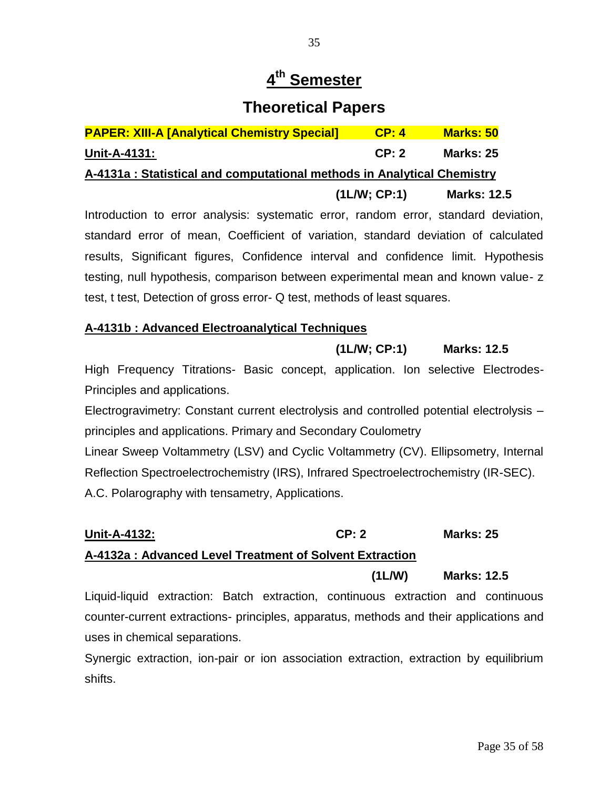## **4 th Semester**

## **Theoretical Papers**

| <b>PAPER: XIII-A [Analytical Chemistry Special]</b>                     | CP: 4       | <b>Marks: 50</b>   |
|-------------------------------------------------------------------------|-------------|--------------------|
| <b>Unit-A-4131:</b>                                                     | CP: 2       | <b>Marks: 25</b>   |
| A-4131a : Statistical and computational methods in Analytical Chemistry |             |                    |
|                                                                         | (1LM; CP:1) | <b>Marks: 12.5</b> |
|                                                                         |             |                    |

Introduction to error analysis: systematic error, random error, standard deviation, standard error of mean, Coefficient of variation, standard deviation of calculated results, Significant figures, Confidence interval and confidence limit. Hypothesis testing, null hypothesis, comparison between experimental mean and known value- z test, t test, Detection of gross error- Q test, methods of least squares.

### **A-4131b : Advanced Electroanalytical Techniques**

### **(1L/W; CP:1) Marks: 12.5**

High Frequency Titrations- Basic concept, application. Ion selective Electrodes-Principles and applications.

Electrogravimetry: Constant current electrolysis and controlled potential electrolysis – principles and applications. Primary and Secondary Coulometry Linear Sweep Voltammetry (LSV) and Cyclic Voltammetry (CV). Ellipsometry, Internal Reflection Spectroelectrochemistry (IRS), Infrared Spectroelectrochemistry (IR-SEC). A.C. Polarography with tensametry, Applications.

## **Unit-A-4132: CP: 2 Marks: 25 A-4132a : Advanced Level Treatment of Solvent Extraction**

## **(1L/W) Marks: 12.5**

Liquid-liquid extraction: Batch extraction, continuous extraction and continuous counter-current extractions- principles, apparatus, methods and their applications and uses in chemical separations.

Synergic extraction, ion-pair or ion association extraction, extraction by equilibrium shifts.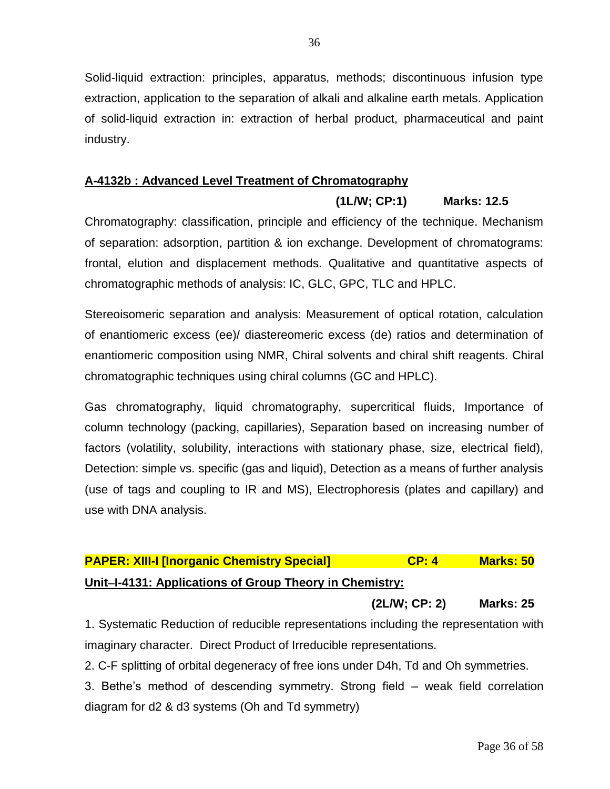Solid-liquid extraction: principles, apparatus, methods; discontinuous infusion type extraction, application to the separation of alkali and alkaline earth metals. Application of solid-liquid extraction in: extraction of herbal product, pharmaceutical and paint industry.

## **A-4132b : Advanced Level Treatment of Chromatography**

Chromatography: classification, principle and efficiency of the technique. Mechanism of separation: adsorption, partition & ion exchange. Development of chromatograms: frontal, elution and displacement methods. Qualitative and quantitative aspects of chromatographic methods of analysis: IC, GLC, GPC, TLC and HPLC.

Stereoisomeric separation and analysis: Measurement of optical rotation, calculation of enantiomeric excess (ee)/ diastereomeric excess (de) ratios and determination of enantiomeric composition using NMR, Chiral solvents and chiral shift reagents. Chiral chromatographic techniques using chiral columns (GC and HPLC).

Gas chromatography, liquid chromatography, supercritical fluids, Importance of column technology (packing, capillaries), Separation based on increasing number of factors (volatility, solubility, interactions with stationary phase, size, electrical field), Detection: simple vs. specific (gas and liquid), Detection as a means of further analysis (use of tags and coupling to IR and MS), Electrophoresis (plates and capillary) and use with DNA analysis.

## **PAPER: XIII-I [Inorganic Chemistry Special] CP: 4 Marks: 50 UnitI-4131: Applications of Group Theory in Chemistry:**

**(2L/W; CP: 2) Marks: 25**

**(1L/W; CP:1) Marks: 12.5** 

1. Systematic Reduction of reducible representations including the representation with imaginary character. Direct Product of Irreducible representations.

2. C-F splitting of orbital degeneracy of free ions under D4h, Td and Oh symmetries.

3. Bethe's method of descending symmetry. Strong field – weak field correlation diagram for d2 & d3 systems (Oh and Td symmetry)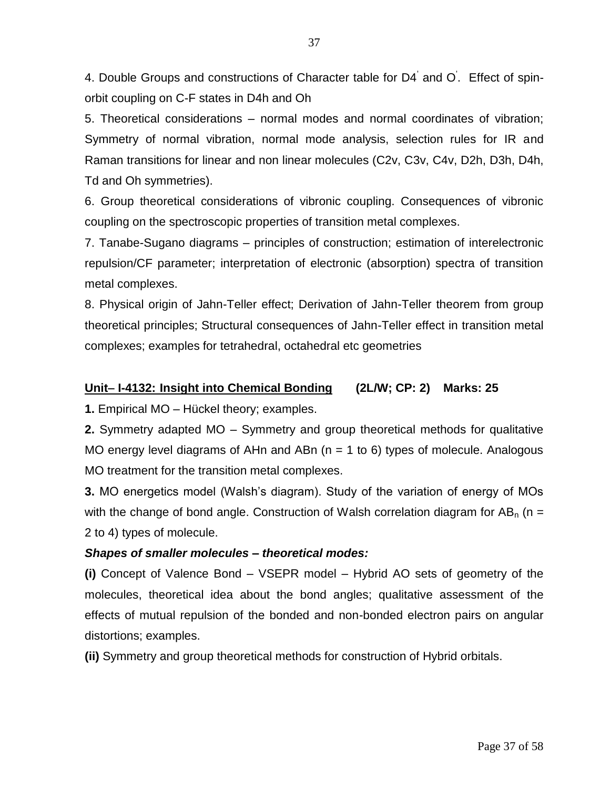4. Double Groups and constructions of Character table for D4' and O' . Effect of spinorbit coupling on C-F states in D4h and Oh

5. Theoretical considerations – normal modes and normal coordinates of vibration; Symmetry of normal vibration, normal mode analysis, selection rules for IR and Raman transitions for linear and non linear molecules (C2v, C3v, C4v, D2h, D3h, D4h, Td and Oh symmetries).

6. Group theoretical considerations of vibronic coupling. Consequences of vibronic coupling on the spectroscopic properties of transition metal complexes.

7. Tanabe-Sugano diagrams – principles of construction; estimation of interelectronic repulsion/CF parameter; interpretation of electronic (absorption) spectra of transition metal complexes.

8. Physical origin of Jahn-Teller effect; Derivation of Jahn-Teller theorem from group theoretical principles; Structural consequences of Jahn-Teller effect in transition metal complexes; examples for tetrahedral, octahedral etc geometries

### **Unit I-4132: Insight into Chemical Bonding (2L/W; CP: 2) Marks: 25**

**1.** Empirical MO – Hückel theory; examples.

**2.** Symmetry adapted MO – Symmetry and group theoretical methods for qualitative MO energy level diagrams of AHn and ABn  $(n = 1$  to 6) types of molecule. Analogous MO treatment for the transition metal complexes.

**3.** MO energetics model (Walsh's diagram). Study of the variation of energy of MOs with the change of bond angle. Construction of Walsh correlation diagram for  $AB_n$  (n = 2 to 4) types of molecule.

## *Shapes of smaller molecules – theoretical modes:*

**(i)** Concept of Valence Bond – VSEPR model – Hybrid AO sets of geometry of the molecules, theoretical idea about the bond angles; qualitative assessment of the effects of mutual repulsion of the bonded and non-bonded electron pairs on angular distortions; examples.

**(ii)** Symmetry and group theoretical methods for construction of Hybrid orbitals.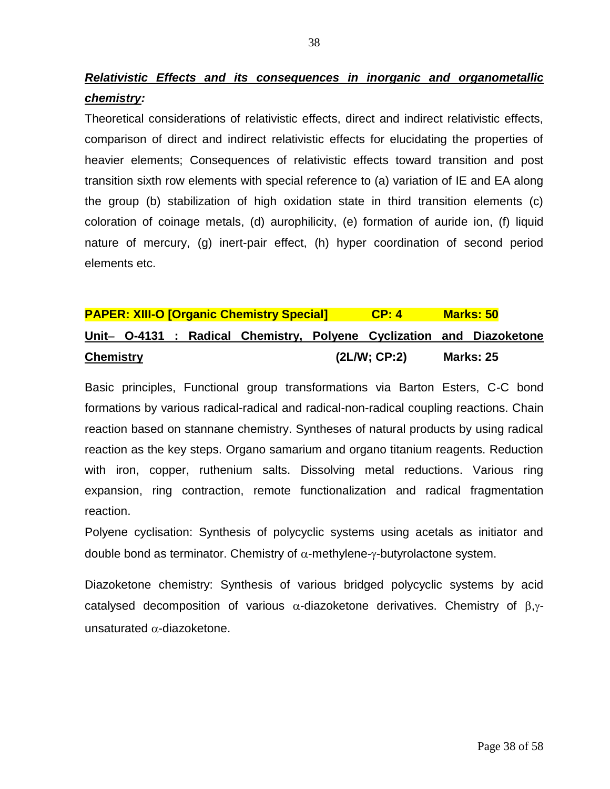*Relativistic Effects and its consequences in inorganic and organometallic chemistry:*

Theoretical considerations of relativistic effects, direct and indirect relativistic effects, comparison of direct and indirect relativistic effects for elucidating the properties of heavier elements; Consequences of relativistic effects toward transition and post transition sixth row elements with special reference to (a) variation of IE and EA along the group (b) stabilization of high oxidation state in third transition elements (c) coloration of coinage metals, (d) aurophilicity, (e) formation of auride ion, (f) liquid nature of mercury, (g) inert-pair effect, (h) hyper coordination of second period elements etc.

|                  |  | <b>PAPER: XIII-O [Organic Chemistry Special]</b> | CP: 4       | <b>Marks: 50</b>                                                      |
|------------------|--|--------------------------------------------------|-------------|-----------------------------------------------------------------------|
|                  |  |                                                  |             | Unit- O-4131 : Radical Chemistry, Polyene Cyclization and Diazoketone |
| <b>Chemistry</b> |  |                                                  | (2LM; CP:2) | <b>Marks: 25</b>                                                      |

Basic principles, Functional group transformations via Barton Esters, C-C bond formations by various radical-radical and radical-non-radical coupling reactions. Chain reaction based on stannane chemistry. Syntheses of natural products by using radical reaction as the key steps. Organo samarium and organo titanium reagents. Reduction with iron, copper, ruthenium salts. Dissolving metal reductions. Various ring expansion, ring contraction, remote functionalization and radical fragmentation reaction.

Polyene cyclisation: Synthesis of polycyclic systems using acetals as initiator and double bond as terminator. Chemistry of  $\alpha$ -methylene- $\gamma$ -butyrolactone system.

Diazoketone chemistry: Synthesis of various bridged polycyclic systems by acid catalysed decomposition of various  $\alpha$ -diazoketone derivatives. Chemistry of  $\beta,\gamma$ unsaturated  $\alpha$ -diazoketone.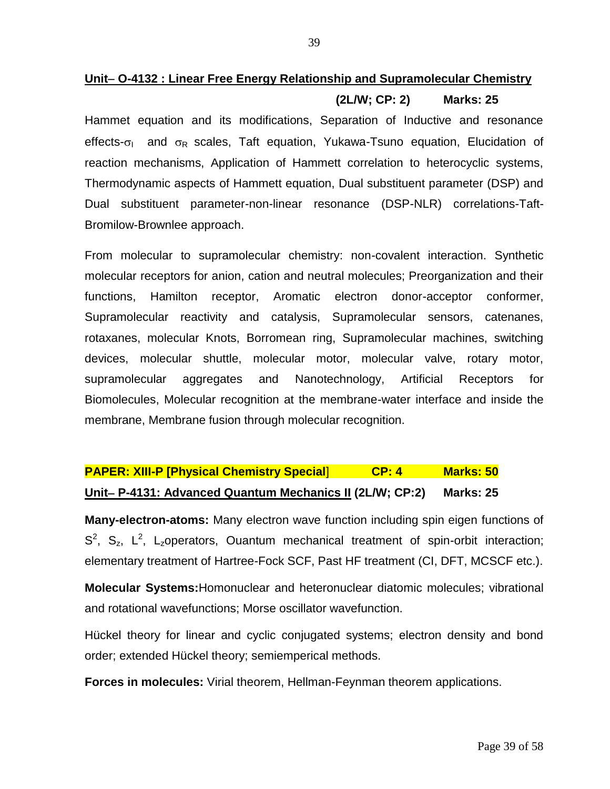## **Unit O-4132 : Linear Free Energy Relationship and Supramolecular Chemistry (2L/W; CP: 2) Marks: 25**

Hammet equation and its modifications, Separation of Inductive and resonance effects- $\sigma_{\parallel}$  and  $\sigma_{\text{R}}$  scales, Taft equation, Yukawa-Tsuno equation, Elucidation of reaction mechanisms, Application of Hammett correlation to heterocyclic systems, Thermodynamic aspects of Hammett equation, Dual substituent parameter (DSP) and Dual substituent parameter-non-linear resonance (DSP-NLR) correlations-Taft-Bromilow-Brownlee approach.

From molecular to supramolecular chemistry: non-covalent interaction. Synthetic molecular receptors for anion, cation and neutral molecules; Preorganization and their functions, Hamilton receptor, Aromatic electron donor-acceptor conformer, Supramolecular reactivity and catalysis, Supramolecular sensors, catenanes, rotaxanes, molecular Knots, Borromean ring, Supramolecular machines, switching devices, molecular shuttle, molecular motor, molecular valve, rotary motor, supramolecular aggregates and Nanotechnology, Artificial Receptors for Biomolecules, Molecular recognition at the membrane-water interface and inside the membrane, Membrane fusion through molecular recognition.

## **PAPER: XIII-P [Physical Chemistry Special] <b>CP: 4** Marks: 50 **Unit P-4131: Advanced Quantum Mechanics II (2L/W; CP:2) Marks: 25**

**Many-electron-atoms:** Many electron wave function including spin eigen functions of  $S^2$ ,  $S_z$ ,  $L^2$ ,  $L_z$ operators, Ouantum mechanical treatment of spin-orbit interaction; elementary treatment of Hartree-Fock SCF, Past HF treatment (CI, DFT, MCSCF etc.).

**Molecular Systems:**Homonuclear and heteronuclear diatomic molecules; vibrational and rotational wavefunctions; Morse oscillator wavefunction.

Hückel theory for linear and cyclic conjugated systems; electron density and bond order; extended Hückel theory; semiemperical methods.

**Forces in molecules:** Virial theorem, Hellman-Feynman theorem applications.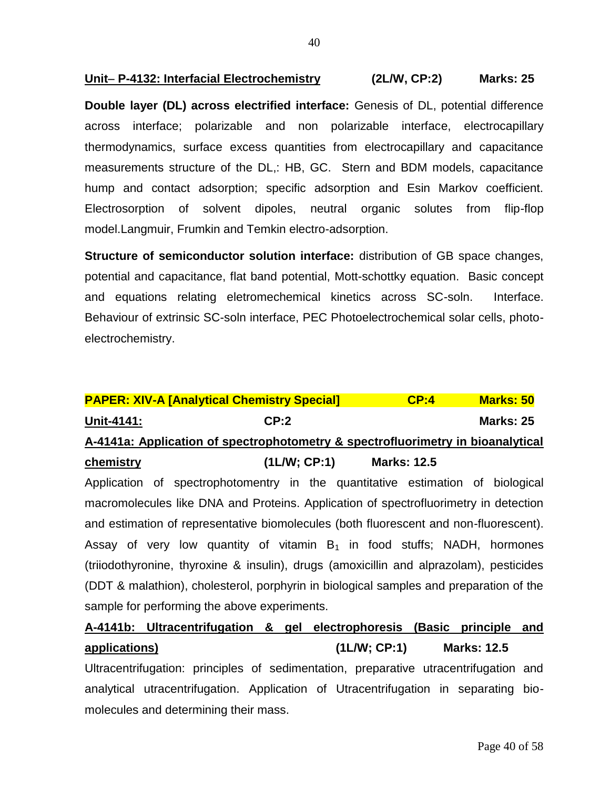### **Unit P-4132: Interfacial Electrochemistry (2L/W, CP:2) Marks: 25**

**Double layer (DL) across electrified interface:** Genesis of DL, potential difference across interface; polarizable and non polarizable interface, electrocapillary thermodynamics, surface excess quantities from electrocapillary and capacitance measurements structure of the DL,: HB, GC. Stern and BDM models, capacitance hump and contact adsorption; specific adsorption and Esin Markov coefficient. Electrosorption of solvent dipoles, neutral organic solutes from flip-flop model.Langmuir, Frumkin and Temkin electro-adsorption.

**Structure of semiconductor solution interface:** distribution of GB space changes, potential and capacitance, flat band potential, Mott-schottky equation. Basic concept and equations relating eletromechemical kinetics across SC-soln. Interface. Behaviour of extrinsic SC-soln interface, PEC Photoelectrochemical solar cells, photoelectrochemistry.

| <b>PAPER: XIV-A [Analytical Chemistry Special]</b>                              |             | CP:4               | <b>Marks: 50</b> |  |  |
|---------------------------------------------------------------------------------|-------------|--------------------|------------------|--|--|
| Unit-4141:                                                                      | CP:2        |                    | <b>Marks: 25</b> |  |  |
| A-4141a: Application of spectrophotometry & spectrofluorimetry in bioanalytical |             |                    |                  |  |  |
| chemistry                                                                       | (1LM; CP:1) | <b>Marks: 12.5</b> |                  |  |  |

Application of spectrophotomentry in the quantitative estimation of biological macromolecules like DNA and Proteins. Application of spectrofluorimetry in detection and estimation of representative biomolecules (both fluorescent and non-fluorescent). Assay of very low quantity of vitamin  $B_1$  in food stuffs; NADH, hormones (triiodothyronine, thyroxine & insulin), drugs (amoxicillin and alprazolam), pesticides (DDT & malathion), cholesterol, porphyrin in biological samples and preparation of the sample for performing the above experiments.

## **A-4141b: Ultracentrifugation & gel electrophoresis (Basic principle and applications) (1L/W; CP:1) Marks: 12.5**

Ultracentrifugation: principles of sedimentation, preparative utracentrifugation and analytical utracentrifugation. Application of Utracentrifugation in separating biomolecules and determining their mass.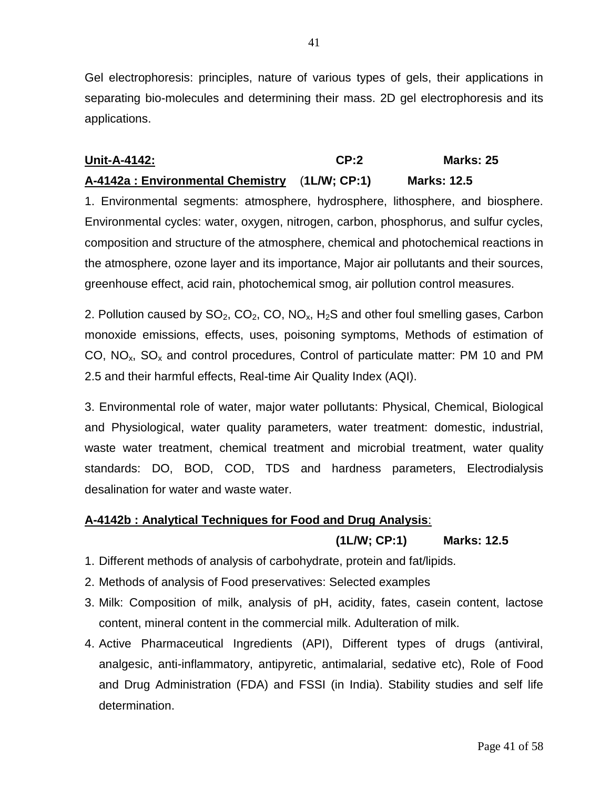Gel electrophoresis: principles, nature of various types of gels, their applications in separating bio-molecules and determining their mass. 2D gel electrophoresis and its applications.

## **Unit-A-4142: CP:2 Marks: 25**

## **A-4142a : Environmental Chemistry** (**1L/W; CP:1) Marks: 12.5**

1. Environmental segments: atmosphere, hydrosphere, lithosphere, and biosphere. Environmental cycles: water, oxygen, nitrogen, carbon, phosphorus, and sulfur cycles, composition and structure of the atmosphere, chemical and photochemical reactions in the atmosphere, ozone layer and its importance, Major air pollutants and their sources, greenhouse effect, acid rain, photochemical smog, air pollution control measures.

2. Pollution caused by  $SO_2$ ,  $CO_2$ ,  $CO$ ,  $NO_x$ ,  $H_2S$  and other foul smelling gases, Carbon monoxide emissions, effects, uses, poisoning symptoms, Methods of estimation of CO,  $NO<sub>x</sub>$ ,  $SO<sub>x</sub>$  and control procedures, Control of particulate matter: PM 10 and PM 2.5 and their harmful effects, Real-time Air Quality Index (AQI).

3. Environmental role of water, major water pollutants: Physical, Chemical, Biological and Physiological, water quality parameters, water treatment: domestic, industrial, waste water treatment, chemical treatment and microbial treatment, water quality standards: DO, BOD, COD, TDS and hardness parameters, Electrodialysis desalination for water and waste water.

## **A-4142b : Analytical Techniques for Food and Drug Analysis**:

## **(1L/W; CP:1) Marks: 12.5**

- 1. Different methods of analysis of carbohydrate, protein and fat/lipids.
- 2. Methods of analysis of Food preservatives: Selected examples
- 3. Milk: Composition of milk, analysis of pH, acidity, fates, casein content, lactose content, mineral content in the commercial milk. Adulteration of milk.
- 4. Active Pharmaceutical Ingredients (API), Different types of drugs (antiviral, analgesic, anti-inflammatory, antipyretic, antimalarial, sedative etc), Role of Food and Drug Administration (FDA) and FSSI (in India). Stability studies and self life determination.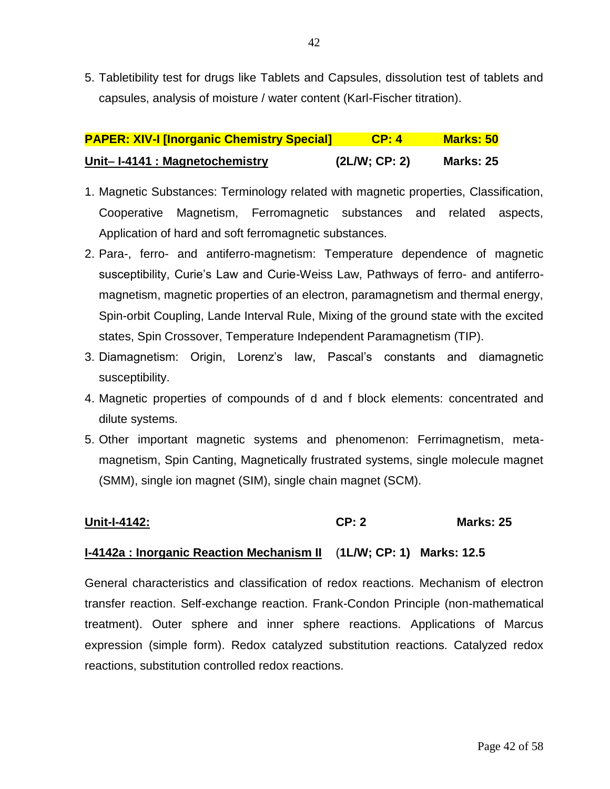5. Tabletibility test for drugs like Tablets and Capsules, dissolution test of tablets and capsules, analysis of moisture / water content (Karl-Fischer titration).

| <b>PAPER: XIV-I [Inorganic Chemistry Special]</b> | CP: 4        | Marks: 50        |
|---------------------------------------------------|--------------|------------------|
| Unit-I-4141 : Magnetochemistry                    | (2LM; CP: 2) | <b>Marks: 25</b> |

- 1. Magnetic Substances: Terminology related with magnetic properties, Classification, Cooperative Magnetism, Ferromagnetic substances and related aspects, Application of hard and soft ferromagnetic substances.
- 2. Para-, ferro- and antiferro-magnetism: Temperature dependence of magnetic susceptibility, Curie's Law and Curie-Weiss Law, Pathways of ferro- and antiferromagnetism, magnetic properties of an electron, paramagnetism and thermal energy, Spin-orbit Coupling, Lande Interval Rule, Mixing of the ground state with the excited states, Spin Crossover, Temperature Independent Paramagnetism (TIP).
- 3. Diamagnetism: Origin, Lorenz's law, Pascal's constants and diamagnetic susceptibility.
- 4. Magnetic properties of compounds of d and f block elements: concentrated and dilute systems.
- 5. Other important magnetic systems and phenomenon: Ferrimagnetism, metamagnetism, Spin Canting, Magnetically frustrated systems, single molecule magnet (SMM), single ion magnet (SIM), single chain magnet (SCM).

## **Unit-I-4142: CP: 2 Marks: 25**

## **I-4142a : Inorganic Reaction Mechanism II** (**1L/W; CP: 1) Marks: 12.5**

General characteristics and classification of redox reactions. Mechanism of electron transfer reaction. Self-exchange reaction. Frank-Condon Principle (non-mathematical treatment). Outer sphere and inner sphere reactions. Applications of Marcus expression (simple form). Redox catalyzed substitution reactions. Catalyzed redox reactions, substitution controlled redox reactions.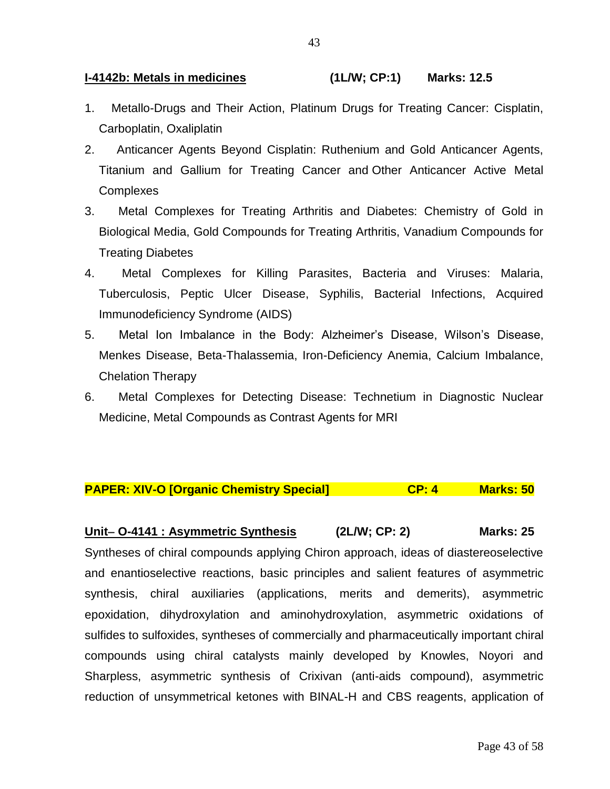### **I-4142b: Metals in medicines (1L/W; CP:1) Marks: 12.5**

- 1. Metallo-Drugs and Their Action, Platinum Drugs for Treating Cancer: Cisplatin, Carboplatin, Oxaliplatin
- 2. Anticancer Agents Beyond Cisplatin: Ruthenium and Gold Anticancer Agents, Titanium and Gallium for Treating Cancer and Other Anticancer Active Metal **Complexes**
- 3. Metal Complexes for Treating Arthritis and Diabetes: Chemistry of Gold in Biological Media, Gold Compounds for Treating Arthritis, Vanadium Compounds for Treating Diabetes
- 4. Metal Complexes for Killing Parasites, Bacteria and Viruses: Malaria, Tuberculosis, Peptic Ulcer Disease, Syphilis, Bacterial Infections, Acquired Immunodeficiency Syndrome (AIDS)
- 5. Metal Ion Imbalance in the Body: Alzheimer's Disease, Wilson's Disease, Menkes Disease, Beta-Thalassemia, Iron-Deficiency Anemia, Calcium Imbalance, Chelation Therapy
- 6. Metal Complexes for Detecting Disease: Technetium in Diagnostic Nuclear Medicine, Metal Compounds as Contrast Agents for MRI

## **PAPER: XIV-O [Organic Chemistry Special] CP: 4 Marks: 50**

## **Unit O-4141 : Asymmetric Synthesis (2L/W; CP: 2) Marks: 25**

Syntheses of chiral compounds applying Chiron approach, ideas of diastereoselective and enantioselective reactions, basic principles and salient features of asymmetric synthesis, chiral auxiliaries (applications, merits and demerits), asymmetric epoxidation, dihydroxylation and aminohydroxylation, asymmetric oxidations of sulfides to sulfoxides, syntheses of commercially and pharmaceutically important chiral compounds using chiral catalysts mainly developed by Knowles, Noyori and Sharpless, asymmetric synthesis of Crixivan (anti-aids compound), asymmetric reduction of unsymmetrical ketones with BINAL-H and CBS reagents, application of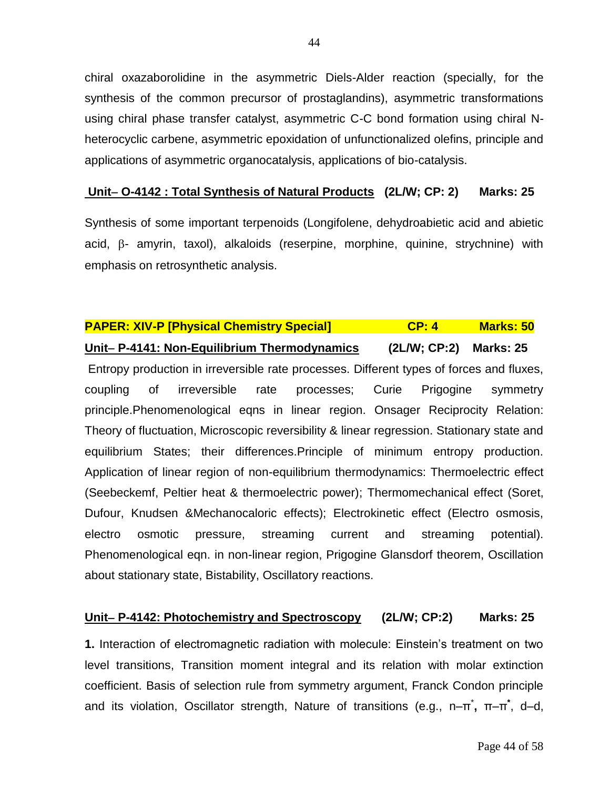chiral oxazaborolidine in the asymmetric Diels-Alder reaction (specially, for the synthesis of the common precursor of prostaglandins), asymmetric transformations using chiral phase transfer catalyst, asymmetric C-C bond formation using chiral Nheterocyclic carbene, asymmetric epoxidation of unfunctionalized olefins, principle and applications of asymmetric organocatalysis, applications of bio-catalysis.

### **Unit O-4142 : Total Synthesis of Natural Products (2L/W; CP: 2) Marks: 25**

Synthesis of some important terpenoids (Longifolene, dehydroabietic acid and abietic  $acid$ ,  $\beta$ - amyrin, taxol), alkaloids (reserpine, morphine, quinine, strychnine) with emphasis on retrosynthetic analysis.

## **PAPER: XIV-P [Physical Chemistry Special] CP: 4 Marks: 50**

### **Unit P-4141: Non-Equilibrium Thermodynamics (2L/W; CP:2) Marks: 25**

Entropy production in irreversible rate processes. Different types of forces and fluxes, coupling of irreversible rate processes; Curie Prigogine symmetry principle.Phenomenological eqns in linear region. Onsager Reciprocity Relation: Theory of fluctuation, Microscopic reversibility & linear regression. Stationary state and equilibrium States; their differences.Principle of minimum entropy production. Application of linear region of non-equilibrium thermodynamics: Thermoelectric effect (Seebeckemf, Peltier heat & thermoelectric power); Thermomechanical effect (Soret, Dufour, Knudsen &Mechanocaloric effects); Electrokinetic effect (Electro osmosis, electro osmotic pressure, streaming current and streaming potential). Phenomenological eqn. in non-linear region, Prigogine Glansdorf theorem, Oscillation about stationary state, Bistability, Oscillatory reactions.

#### **Unit P-4142: Photochemistry and Spectroscopy (2L/W; CP:2) Marks: 25**

**1.** Interaction of electromagnetic radiation with molecule: Einstein's treatment on two level transitions, Transition moment integral and its relation with molar extinction coefficient. Basis of selection rule from symmetry argument, Franck Condon principle and its violation, Oscillator strength, Nature of transitions (e.g., n-π<sup>\*</sup>, π-π<sup>\*</sup>, d-d,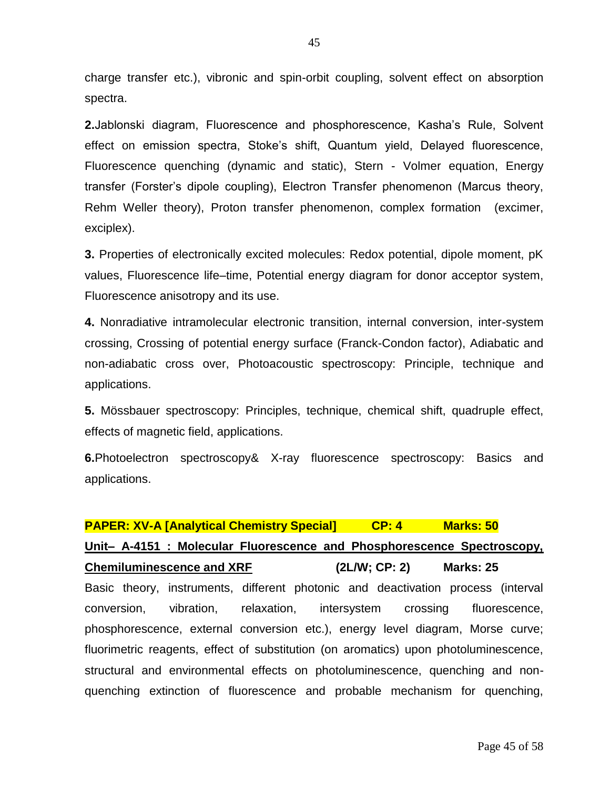charge transfer etc.), vibronic and spin-orbit coupling, solvent effect on absorption spectra.

**2.**Jablonski diagram, Fluorescence and phosphorescence, Kasha's Rule, Solvent effect on emission spectra, Stoke's shift, Quantum yield, Delayed fluorescence, Fluorescence quenching (dynamic and static), Stern - Volmer equation, Energy transfer (Forster's dipole coupling), Electron Transfer phenomenon (Marcus theory, Rehm Weller theory), Proton transfer phenomenon, complex formation (excimer, exciplex).

**3.** Properties of electronically excited molecules: Redox potential, dipole moment, pK values, Fluorescence life–time, Potential energy diagram for donor acceptor system, Fluorescence anisotropy and its use.

**4.** Nonradiative intramolecular electronic transition, internal conversion, inter-system crossing, Crossing of potential energy surface (Franck-Condon factor), Adiabatic and non-adiabatic cross over, Photoacoustic spectroscopy: Principle, technique and applications.

**5.** Mössbauer spectroscopy: Principles, technique, chemical shift, quadruple effect, effects of magnetic field, applications.

**6.**Photoelectron spectroscopy& X-ray fluorescence spectroscopy: Basics and applications.

### **PAPER: XV-A [Analytical Chemistry Special] CP: 4 Marks: 50**

## **Unit– A-4151 : Molecular Fluorescence and Phosphorescence Spectroscopy,**

**Chemiluminescence and XRF (2L/W; CP: 2) Marks: 25** Basic theory, instruments, different photonic and deactivation process (interval conversion, vibration, relaxation, intersystem crossing fluorescence, phosphorescence, external conversion etc.), energy level diagram, Morse curve; fluorimetric reagents, effect of substitution (on aromatics) upon photoluminescence, structural and environmental effects on photoluminescence, quenching and nonquenching extinction of fluorescence and probable mechanism for quenching,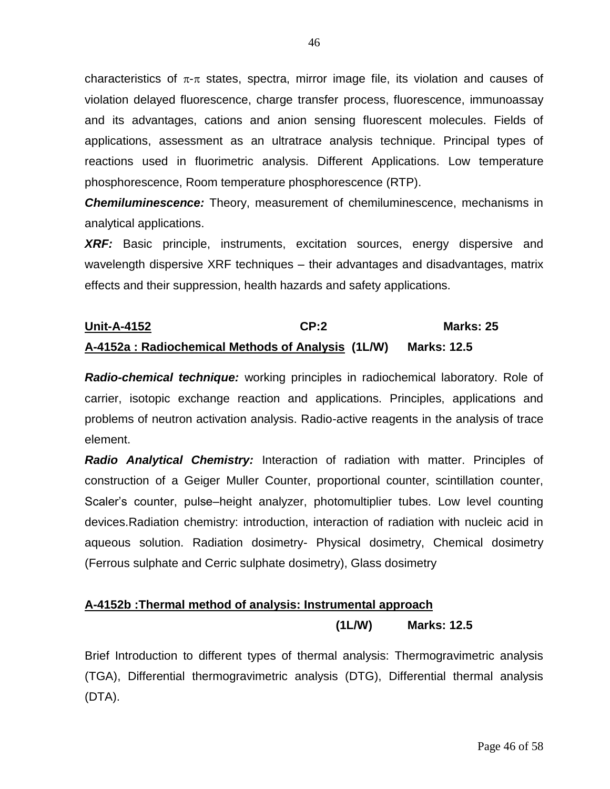characteristics of  $\pi$ - $\pi$  states, spectra, mirror image file, its violation and causes of violation delayed fluorescence, charge transfer process, fluorescence, immunoassay and its advantages, cations and anion sensing fluorescent molecules. Fields of applications, assessment as an ultratrace analysis technique. Principal types of reactions used in fluorimetric analysis. Different Applications. Low temperature phosphorescence, Room temperature phosphorescence (RTP).

*Chemiluminescence:* Theory, measurement of chemiluminescence, mechanisms in analytical applications.

*XRF:* Basic principle, instruments, excitation sources, energy dispersive and wavelength dispersive XRF techniques – their advantages and disadvantages, matrix effects and their suppression, health hazards and safety applications.

## **Unit-A-4152 CP:2 Marks: 25 A-4152a : Radiochemical Methods of Analysis (1L/W) Marks: 12.5**

*Radio-chemical technique:* working principles in radiochemical laboratory. Role of carrier, isotopic exchange reaction and applications. Principles, applications and problems of neutron activation analysis. Radio-active reagents in the analysis of trace element.

*Radio Analytical Chemistry:* Interaction of radiation with matter. Principles of construction of a Geiger Muller Counter, proportional counter, scintillation counter, Scaler's counter, pulse–height analyzer, photomultiplier tubes. Low level counting devices.Radiation chemistry: introduction, interaction of radiation with nucleic acid in aqueous solution. Radiation dosimetry- Physical dosimetry, Chemical dosimetry (Ferrous sulphate and Cerric sulphate dosimetry), Glass dosimetry

## **A-4152b :Thermal method of analysis: Instrumental approach (1L/W) Marks: 12.5**

Brief Introduction to different types of thermal analysis: Thermogravimetric analysis (TGA), Differential thermogravimetric analysis (DTG), Differential thermal analysis (DTA).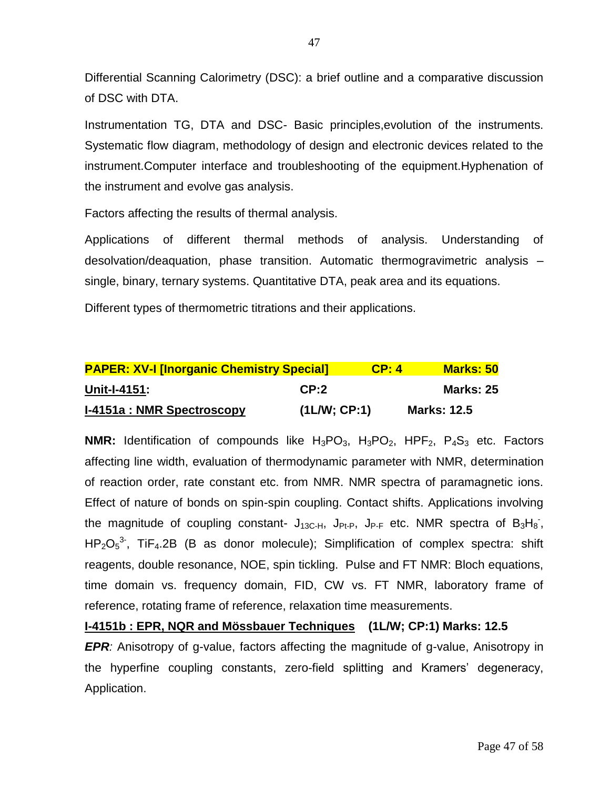Differential Scanning Calorimetry (DSC): a brief outline and a comparative discussion of DSC with DTA.

Instrumentation TG, DTA and DSC- Basic principles,evolution of the instruments. Systematic flow diagram, methodology of design and electronic devices related to the instrument.Computer interface and troubleshooting of the equipment.Hyphenation of the instrument and evolve gas analysis.

Factors affecting the results of thermal analysis.

Applications of different thermal methods of analysis. Understanding of desolvation/deaquation, phase transition. Automatic thermogravimetric analysis – single, binary, ternary systems. Quantitative DTA, peak area and its equations.

Different types of thermometric titrations and their applications.

| <b>PAPER: XV-I [Inorganic Chemistry Special]</b> |             | CP: 4 | <b>Marks: 50</b>   |
|--------------------------------------------------|-------------|-------|--------------------|
| Unit-I-4151:                                     | CP:2        |       | <b>Marks: 25</b>   |
| I-4151a: NMR Spectroscopy                        | (1LM; CP:1) |       | <b>Marks: 12.5</b> |

**NMR:** Identification of compounds like  $H_3PO_3$ ,  $H_3PO_2$ ,  $HPF_2$ ,  $P_4S_3$  etc. Factors affecting line width, evaluation of thermodynamic parameter with NMR, determination of reaction order, rate constant etc. from NMR. NMR spectra of paramagnetic ions. Effect of nature of bonds on spin-spin coupling. Contact shifts. Applications involving the magnitude of coupling constant-  $J_{13C-H}$ ,  $J_{Pt-P}$ ,  $J_{P-F}$  etc. NMR spectra of  $B_3H_8$ ,  $HP_2O_5^3$ , TiF<sub>4</sub>.2B (B as donor molecule); Simplification of complex spectra: shift reagents, double resonance, NOE, spin tickling. Pulse and FT NMR: Bloch equations, time domain vs. frequency domain, FID, CW vs. FT NMR, laboratory frame of reference, rotating frame of reference, relaxation time measurements.

**I-4151b : EPR, NQR and Mössbauer Techniques (1L/W; CP:1) Marks: 12.5** 

*EPR:* Anisotropy of g-value, factors affecting the magnitude of g-value, Anisotropy in the hyperfine coupling constants, zero-field splitting and Kramers' degeneracy, Application.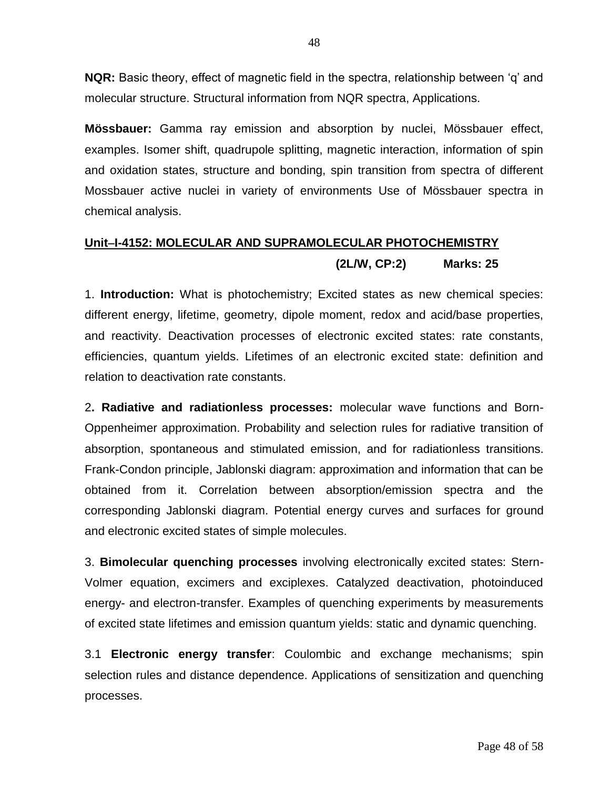**NQR:** Basic theory, effect of magnetic field in the spectra, relationship between 'q' and molecular structure. Structural information from NQR spectra, Applications.

**Mössbauer:** Gamma ray emission and absorption by nuclei, Mössbauer effect, examples. Isomer shift, quadrupole splitting, magnetic interaction, information of spin and oxidation states, structure and bonding, spin transition from spectra of different Mossbauer active nuclei in variety of environments Use of Mössbauer spectra in chemical analysis.

# **UnitI-4152: MOLECULAR AND SUPRAMOLECULAR PHOTOCHEMISTRY**

**(2L/W, CP:2) Marks: 25**

1. **Introduction:** What is photochemistry; Excited states as new chemical species: different energy, lifetime, geometry, dipole moment, redox and acid/base properties, and reactivity. Deactivation processes of electronic excited states: rate constants, efficiencies, quantum yields. Lifetimes of an electronic excited state: definition and relation to deactivation rate constants.

2**. Radiative and radiationless processes:** molecular wave functions and Born-Oppenheimer approximation. Probability and selection rules for radiative transition of absorption, spontaneous and stimulated emission, and for radiationless transitions. Frank-Condon principle, Jablonski diagram: approximation and information that can be obtained from it. Correlation between absorption/emission spectra and the corresponding Jablonski diagram. Potential energy curves and surfaces for ground and electronic excited states of simple molecules.

3. **Bimolecular quenching processes** involving electronically excited states: Stern-Volmer equation, excimers and exciplexes. Catalyzed deactivation, photoinduced energy- and electron-transfer. Examples of quenching experiments by measurements of excited state lifetimes and emission quantum yields: static and dynamic quenching.

3.1 **Electronic energy transfer**: Coulombic and exchange mechanisms; spin selection rules and distance dependence. Applications of sensitization and quenching processes.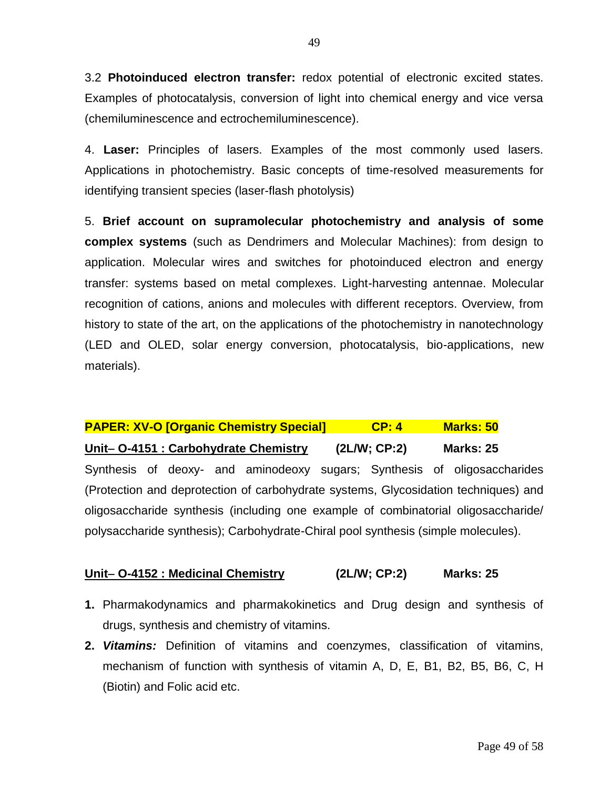3.2 **Photoinduced electron transfer:** redox potential of electronic excited states. Examples of photocatalysis, conversion of light into chemical energy and vice versa (chemiluminescence and ectrochemiluminescence).

4. **Laser:** Principles of lasers. Examples of the most commonly used lasers. Applications in photochemistry. Basic concepts of time-resolved measurements for identifying transient species (laser-flash photolysis)

5. **Brief account on supramolecular photochemistry and analysis of some complex systems** (such as Dendrimers and Molecular Machines): from design to application. Molecular wires and switches for photoinduced electron and energy transfer: systems based on metal complexes. Light-harvesting antennae. Molecular recognition of cations, anions and molecules with different receptors. Overview, from history to state of the art, on the applications of the photochemistry in nanotechnology (LED and OLED, solar energy conversion, photocatalysis, bio-applications, new materials).

**PAPER: XV-O [Organic Chemistry Special] CP: 4 Marks: 50 Unit O-4151 : Carbohydrate Chemistry (2L/W; CP:2) Marks: 25** Synthesis of deoxy- and aminodeoxy sugars; Synthesis of oligosaccharides (Protection and deprotection of carbohydrate systems, Glycosidation techniques) and oligosaccharide synthesis (including one example of combinatorial oligosaccharide/ polysaccharide synthesis); Carbohydrate-Chiral pool synthesis (simple molecules).

## **Unit O-4152 : Medicinal Chemistry (2L/W; CP:2) Marks: 25**

- **1.** Pharmakodynamics and pharmakokinetics and Drug design and synthesis of drugs, synthesis and chemistry of vitamins.
- **2.** *Vitamins:* Definition of vitamins and coenzymes, classification of vitamins, mechanism of function with synthesis of vitamin A, D, E, B1, B2, B5, B6, C, H (Biotin) and Folic acid etc.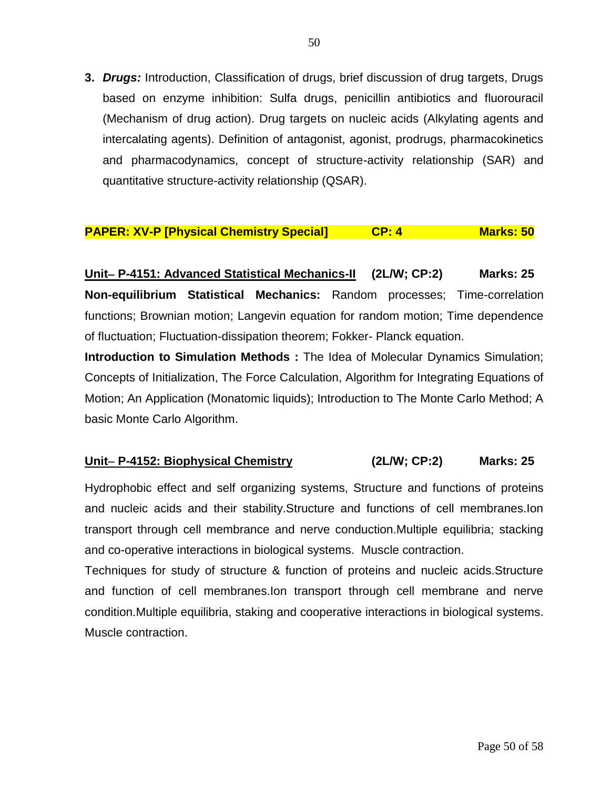**3.** *Drugs:* Introduction, Classification of drugs, brief discussion of drug targets, Drugs based on enzyme inhibition: Sulfa drugs, penicillin antibiotics and fluorouracil (Mechanism of drug action). Drug targets on nucleic acids (Alkylating agents and intercalating agents). Definition of antagonist, agonist, prodrugs, pharmacokinetics and pharmacodynamics, concept of structure-activity relationship (SAR) and quantitative structure-activity relationship (QSAR).

## **PAPER: XV-P [Physical Chemistry Special] CP: 4 Marks: 50**

**Unit P-4151: Advanced Statistical Mechanics-II (2L/W; CP:2) Marks: 25 Non-equilibrium Statistical Mechanics:** Random processes; Time-correlation functions; Brownian motion; Langevin equation for random motion; Time dependence of fluctuation; Fluctuation-dissipation theorem; Fokker- Planck equation.

**Introduction to Simulation Methods :** The Idea of Molecular Dynamics Simulation; Concepts of Initialization, The Force Calculation, Algorithm for Integrating Equations of Motion; An Application (Monatomic liquids); Introduction to The Monte Carlo Method; A basic Monte Carlo Algorithm.

#### **Unit P-4152: Biophysical Chemistry (2L/W; CP:2) Marks: 25**

Hydrophobic effect and self organizing systems, Structure and functions of proteins and nucleic acids and their stability.Structure and functions of cell membranes.Ion transport through cell membrance and nerve conduction.Multiple equilibria; stacking and co-operative interactions in biological systems. Muscle contraction.

Techniques for study of structure & function of proteins and nucleic acids.Structure and function of cell membranes.Ion transport through cell membrane and nerve condition.Multiple equilibria, staking and cooperative interactions in biological systems. Muscle contraction.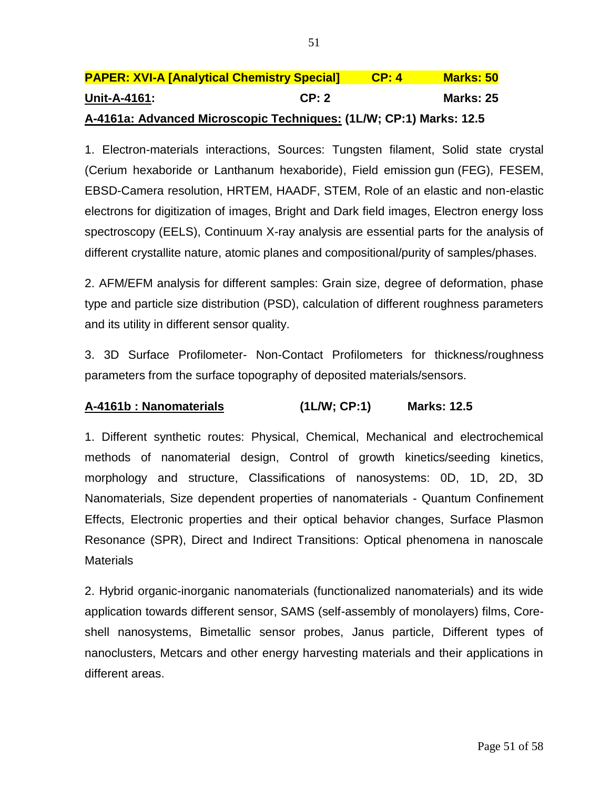| <b>PAPER: XVI-A [Analytical Chemistry Special]</b>                 |       | <b>CP:4</b> | <b>Marks: 50</b> |
|--------------------------------------------------------------------|-------|-------------|------------------|
| Unit-A-4161:                                                       | CP: 2 |             | Marks: 25        |
| A-4161a: Advanced Microscopic Techniques: (1L/W; CP:1) Marks: 12.5 |       |             |                  |

1. Electron-materials interactions, Sources: Tungsten filament, Solid state crystal (Cerium hexaboride or Lanthanum hexaboride), Field emission gun (FEG), FESEM, EBSD-Camera resolution, HRTEM, HAADF, STEM, Role of an elastic and non-elastic electrons for digitization of images, Bright and Dark field images, Electron energy loss spectroscopy (EELS), Continuum X-ray analysis are essential parts for the analysis of different crystallite nature, atomic planes and compositional/purity of samples/phases.

2. AFM/EFM analysis for different samples: Grain size, degree of deformation, phase type and particle size distribution (PSD), calculation of different roughness parameters and its utility in different sensor quality.

3. 3D Surface Profilometer- Non-Contact Profilometers for thickness/roughness parameters from the surface topography of deposited materials/sensors.

## **A-4161b : Nanomaterials (1L/W; CP:1) Marks: 12.5**

1. Different synthetic routes: Physical, Chemical, Mechanical and electrochemical methods of nanomaterial design, Control of growth kinetics/seeding kinetics, morphology and structure, Classifications of nanosystems: 0D, 1D, 2D, 3D Nanomaterials, Size dependent properties of nanomaterials - Quantum Confinement Effects, Electronic properties and their optical behavior changes, Surface Plasmon Resonance (SPR), Direct and Indirect Transitions: Optical phenomena in nanoscale **Materials** 

2. Hybrid organic-inorganic nanomaterials (functionalized nanomaterials) and its wide application towards different sensor, SAMS (self-assembly of monolayers) films, Coreshell nanosystems, Bimetallic sensor probes, Janus particle, Different types of nanoclusters, Metcars and other energy harvesting materials and their applications in different areas.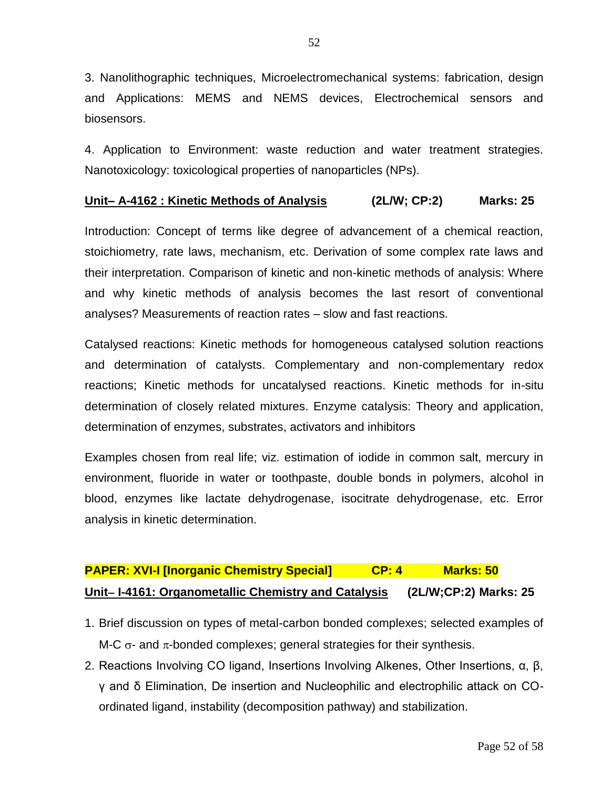3. Nanolithographic techniques, Microelectromechanical systems: fabrication, design and Applications: MEMS and NEMS devices, Electrochemical sensors and biosensors.

4. Application to Environment: waste reduction and water treatment strategies. Nanotoxicology: toxicological properties of nanoparticles (NPs).

## **Unit– A-4162 : Kinetic Methods of Analysis (2L/W; CP:2) Marks: 25**

Introduction: Concept of terms like degree of advancement of a chemical reaction, stoichiometry, rate laws, mechanism, etc. Derivation of some complex rate laws and their interpretation. Comparison of kinetic and non-kinetic methods of analysis: Where and why kinetic methods of analysis becomes the last resort of conventional analyses? Measurements of reaction rates – slow and fast reactions.

Catalysed reactions: Kinetic methods for homogeneous catalysed solution reactions and determination of catalysts. Complementary and non-complementary redox reactions; Kinetic methods for uncatalysed reactions. Kinetic methods for in-situ determination of closely related mixtures. Enzyme catalysis: Theory and application, determination of enzymes, substrates, activators and inhibitors

Examples chosen from real life; viz. estimation of iodide in common salt, mercury in environment, fluoride in water or toothpaste, double bonds in polymers, alcohol in blood, enzymes like lactate dehydrogenase, isocitrate dehydrogenase, etc. Error analysis in kinetic determination.

## **PAPER: XVI-I [Inorganic Chemistry Special] CP: 4 Marks: 50 Unit I-4161: Organometallic Chemistry and Catalysis (2L/W;CP:2) Marks: 25**

- 1. Brief discussion on types of metal-carbon bonded complexes; selected examples of M-C  $\sigma$ - and  $\pi$ -bonded complexes; general strategies for their synthesis.
- 2. Reactions Involving CO ligand, Insertions Involving Alkenes, Other Insertions, α, β, γ and δ Elimination, De insertion and Nucleophilic and electrophilic attack on COordinated ligand, instability (decomposition pathway) and stabilization.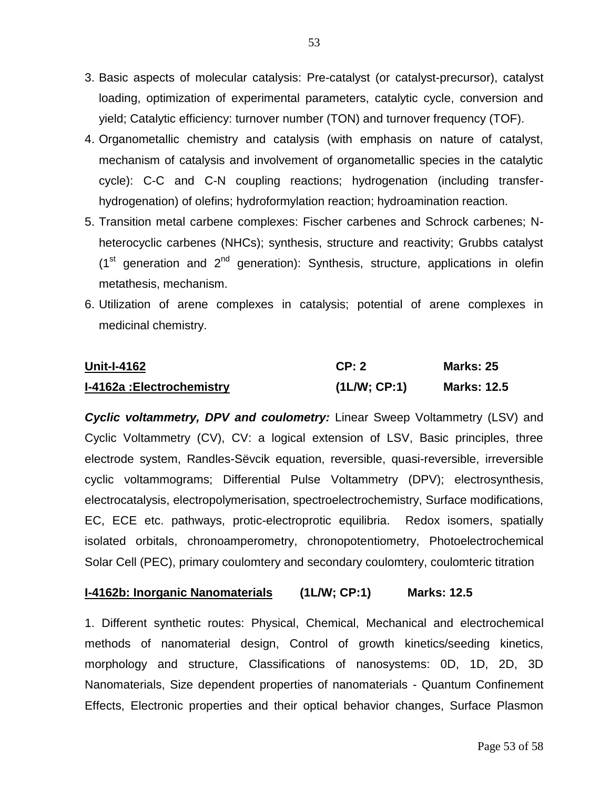- 3. Basic aspects of molecular catalysis: Pre-catalyst (or catalyst-precursor), catalyst loading, optimization of experimental parameters, catalytic cycle, conversion and yield; Catalytic efficiency: turnover number (TON) and turnover frequency (TOF).
- 4. Organometallic chemistry and catalysis (with emphasis on nature of catalyst, mechanism of catalysis and involvement of organometallic species in the catalytic cycle): C-C and C-N coupling reactions; hydrogenation (including transferhydrogenation) of olefins; hydroformylation reaction; hydroamination reaction.
- 5. Transition metal carbene complexes: Fischer carbenes and Schrock carbenes; Nheterocyclic carbenes (NHCs); synthesis, structure and reactivity; Grubbs catalyst  $(1<sup>st</sup>$  generation and  $2<sup>nd</sup>$  generation): Synthesis, structure, applications in olefin metathesis, mechanism.
- 6. Utilization of arene complexes in catalysis; potential of arene complexes in medicinal chemistry.

| <b>Unit-I-4162</b>               | CP: 2       | <b>Marks: 25</b>   |
|----------------------------------|-------------|--------------------|
| <b>I-4162a: Electrochemistry</b> | (1LM; CP:1) | <b>Marks: 12.5</b> |

*Cyclic voltammetry, DPV and coulometry:* Linear Sweep Voltammetry (LSV) and Cyclic Voltammetry (CV), CV: a logical extension of LSV, Basic principles, three electrode system, Randles-Sëvcik equation, reversible, quasi-reversible, irreversible cyclic voltammograms; Differential Pulse Voltammetry (DPV); electrosynthesis, electrocatalysis, electropolymerisation, spectroelectrochemistry, Surface modifications, EC, ECE etc. pathways, protic-electroprotic equilibria. Redox isomers, spatially isolated orbitals, chronoamperometry, chronopotentiometry, Photoelectrochemical Solar Cell (PEC), primary coulomtery and secondary coulomtery, coulomteric titration

## **I-4162b: Inorganic Nanomaterials (1L/W; CP:1) Marks: 12.5**

1. Different synthetic routes: Physical, Chemical, Mechanical and electrochemical methods of nanomaterial design, Control of growth kinetics/seeding kinetics, morphology and structure, Classifications of nanosystems: 0D, 1D, 2D, 3D Nanomaterials, Size dependent properties of nanomaterials - Quantum Confinement Effects, Electronic properties and their optical behavior changes, Surface Plasmon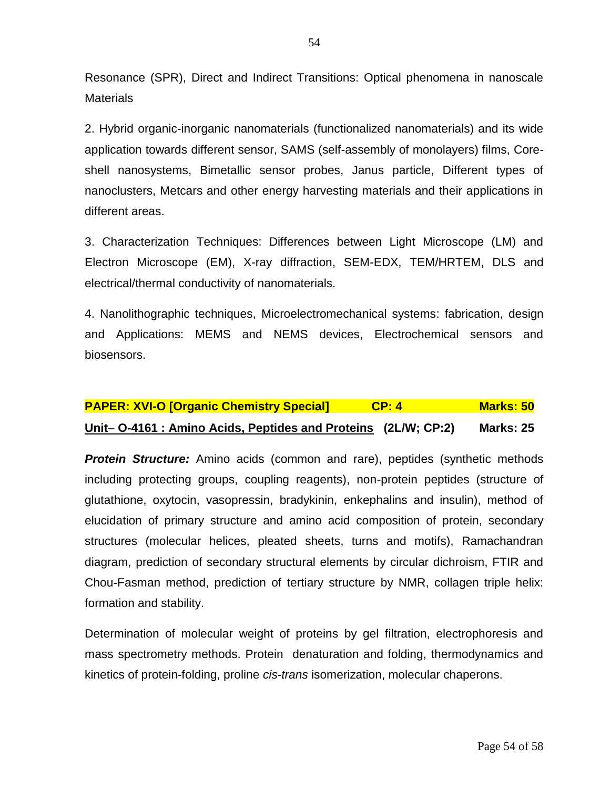Resonance (SPR), Direct and Indirect Transitions: Optical phenomena in nanoscale **Materials** 

2. Hybrid organic-inorganic nanomaterials (functionalized nanomaterials) and its wide application towards different sensor, SAMS (self-assembly of monolayers) films, Coreshell nanosystems, Bimetallic sensor probes, Janus particle, Different types of nanoclusters, Metcars and other energy harvesting materials and their applications in different areas.

3. Characterization Techniques: Differences between Light Microscope (LM) and Electron Microscope (EM), X-ray diffraction, SEM-EDX, TEM/HRTEM, DLS and electrical/thermal conductivity of nanomaterials.

4. Nanolithographic techniques, Microelectromechanical systems: fabrication, design and Applications: MEMS and NEMS devices, Electrochemical sensors and biosensors.

| <b>PAPER: XVI-O [Organic Chemistry Special]</b>                     | CP: 4 | <b>Marks: 50</b> |
|---------------------------------------------------------------------|-------|------------------|
| <u>Unit-O-4161: Amino Acids, Peptides and Proteins (2L/W; CP:2)</u> |       | <b>Marks: 25</b> |

**Protein Structure:** Amino acids (common and rare), peptides (synthetic methods including protecting groups, coupling reagents), non-protein peptides (structure of glutathione, oxytocin, vasopressin, bradykinin, enkephalins and insulin), method of elucidation of primary structure and amino acid composition of protein, secondary structures (molecular helices, pleated sheets, turns and motifs), Ramachandran diagram, prediction of secondary structural elements by circular dichroism, FTIR and Chou-Fasman method, prediction of tertiary structure by NMR, collagen triple helix: formation and stability.

Determination of molecular weight of proteins by gel filtration, electrophoresis and mass spectrometry methods. Protein denaturation and folding, thermodynamics and kinetics of protein-folding, proline *cis*-*trans* isomerization, molecular chaperons.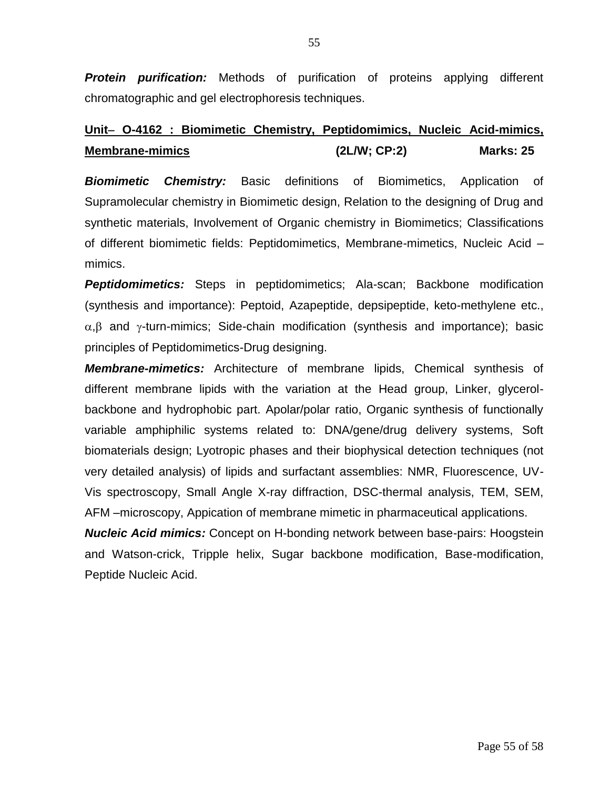*Protein purification:* Methods of purification of proteins applying different chromatographic and gel electrophoresis techniques.

## **Unit O-4162 : Biomimetic Chemistry, Peptidomimics, Nucleic Acid-mimics, Membrane-mimics (2L/W; CP:2) Marks: 25**

*Biomimetic Chemistry:* Basic definitions of Biomimetics, Application of Supramolecular chemistry in Biomimetic design, Relation to the designing of Drug and synthetic materials, Involvement of Organic chemistry in Biomimetics; Classifications of different biomimetic fields: Peptidomimetics, Membrane-mimetics, Nucleic Acid – mimics.

**Peptidomimetics:** Steps in peptidomimetics; Ala-scan; Backbone modification (synthesis and importance): Peptoid, Azapeptide, depsipeptide, keto-methylene etc.,  $\alpha$ ,  $\beta$  and  $\gamma$ -turn-mimics; Side-chain modification (synthesis and importance); basic principles of Peptidomimetics-Drug designing.

*Membrane-mimetics:* Architecture of membrane lipids, Chemical synthesis of different membrane lipids with the variation at the Head group, Linker, glycerolbackbone and hydrophobic part. Apolar/polar ratio, Organic synthesis of functionally variable amphiphilic systems related to: DNA/gene/drug delivery systems, Soft biomaterials design; Lyotropic phases and their biophysical detection techniques (not very detailed analysis) of lipids and surfactant assemblies: NMR, Fluorescence, UV-Vis spectroscopy, Small Angle X-ray diffraction, DSC-thermal analysis, TEM, SEM, AFM –microscopy, Appication of membrane mimetic in pharmaceutical applications.

*Nucleic Acid mimics:* Concept on H-bonding network between base-pairs: Hoogstein and Watson-crick, Tripple helix, Sugar backbone modification, Base-modification, Peptide Nucleic Acid.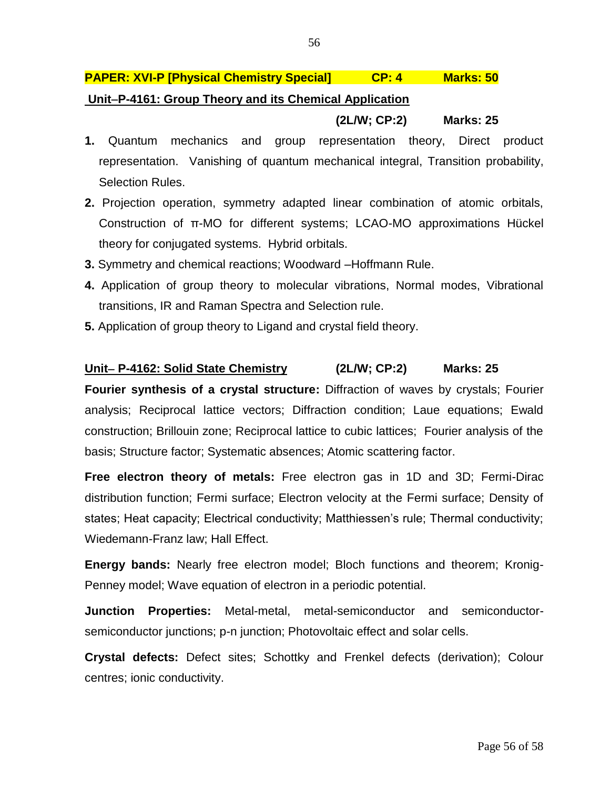## **PAPER: XVI-P [Physical Chemistry Special] CP: 4 Marks: 50**

## **UnitP-4161: Group Theory and its Chemical Application**

## **(2L/W; CP:2) Marks: 25**

- **1.** Quantum mechanics and group representation theory, Direct product representation. Vanishing of quantum mechanical integral, Transition probability, Selection Rules.
- **2.** Projection operation, symmetry adapted linear combination of atomic orbitals, Construction of π-MO for different systems; LCAO-MO approximations Hückel theory for conjugated systems. Hybrid orbitals.
- **3.** Symmetry and chemical reactions; Woodward –Hoffmann Rule.
- **4.** Application of group theory to molecular vibrations, Normal modes, Vibrational transitions, IR and Raman Spectra and Selection rule.
- **5.** Application of group theory to Ligand and crystal field theory.

## **Unit P-4162: Solid State Chemistry (2L/W; CP:2) Marks: 25**

**Fourier synthesis of a crystal structure:** Diffraction of waves by crystals; Fourier analysis; Reciprocal lattice vectors; Diffraction condition; Laue equations; Ewald construction; Brillouin zone; Reciprocal lattice to cubic lattices; Fourier analysis of the basis; Structure factor; Systematic absences; Atomic scattering factor.

**Free electron theory of metals:** Free electron gas in 1D and 3D; Fermi-Dirac distribution function; Fermi surface; Electron velocity at the Fermi surface; Density of states; Heat capacity; Electrical conductivity; Matthiessen's rule; Thermal conductivity; Wiedemann-Franz law; Hall Effect.

**Energy bands:** Nearly free electron model; Bloch functions and theorem; Kronig-Penney model; Wave equation of electron in a periodic potential.

**Junction Properties:** Metal-metal, metal-semiconductor and semiconductorsemiconductor junctions; p-n junction; Photovoltaic effect and solar cells.

**Crystal defects:** Defect sites; Schottky and Frenkel defects (derivation); Colour centres; ionic conductivity.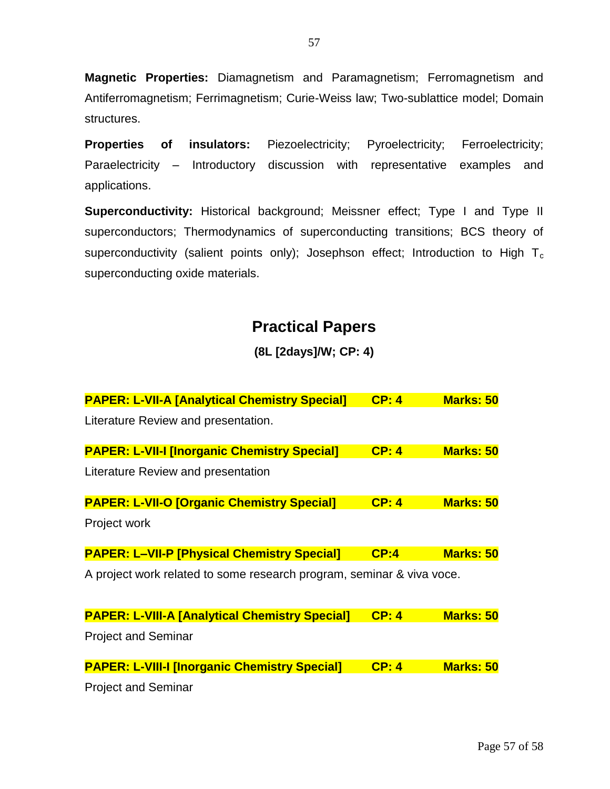**Magnetic Properties:** Diamagnetism and Paramagnetism; Ferromagnetism and Antiferromagnetism; Ferrimagnetism; Curie-Weiss law; Two-sublattice model; Domain structures.

**Properties of insulators:** Piezoelectricity; Pyroelectricity; Ferroelectricity; Paraelectricity – Introductory discussion with representative examples and applications.

**Superconductivity:** Historical background; Meissner effect; Type I and Type II superconductors; Thermodynamics of superconducting transitions; BCS theory of superconductivity (salient points only); Josephson effect; Introduction to High  $T_c$ superconducting oxide materials.

## **Practical Papers**

## **(8L [2days]/W; CP: 4)**

| <b>PAPER: L-VII-A [Analytical Chemistry Special]</b>                  | CP: 4 | <b>Marks: 50</b> |
|-----------------------------------------------------------------------|-------|------------------|
| Literature Review and presentation.                                   |       |                  |
| <b>PAPER: L-VII-I [Inorganic Chemistry Special]</b>                   | CP: 4 | <b>Marks: 50</b> |
| Literature Review and presentation                                    |       |                  |
| <b>PAPER: L-VII-O [Organic Chemistry Special]</b>                     | CP: 4 | <b>Marks: 50</b> |
| Project work                                                          |       |                  |
| <b>PAPER: L-VII-P [Physical Chemistry Special]</b>                    | CP:4  | <b>Marks: 50</b> |
| A project work related to some research program, seminar & viva voce. |       |                  |
|                                                                       |       |                  |
| <b>PAPER: L-VIII-A [Analytical Chemistry Special]</b>                 | CP: 4 | <b>Marks: 50</b> |
| <b>Project and Seminar</b>                                            |       |                  |
| <b>PAPER: L-VIII-I [Inorganic Chemistry Special]</b>                  | CP: 4 | <b>Marks: 50</b> |